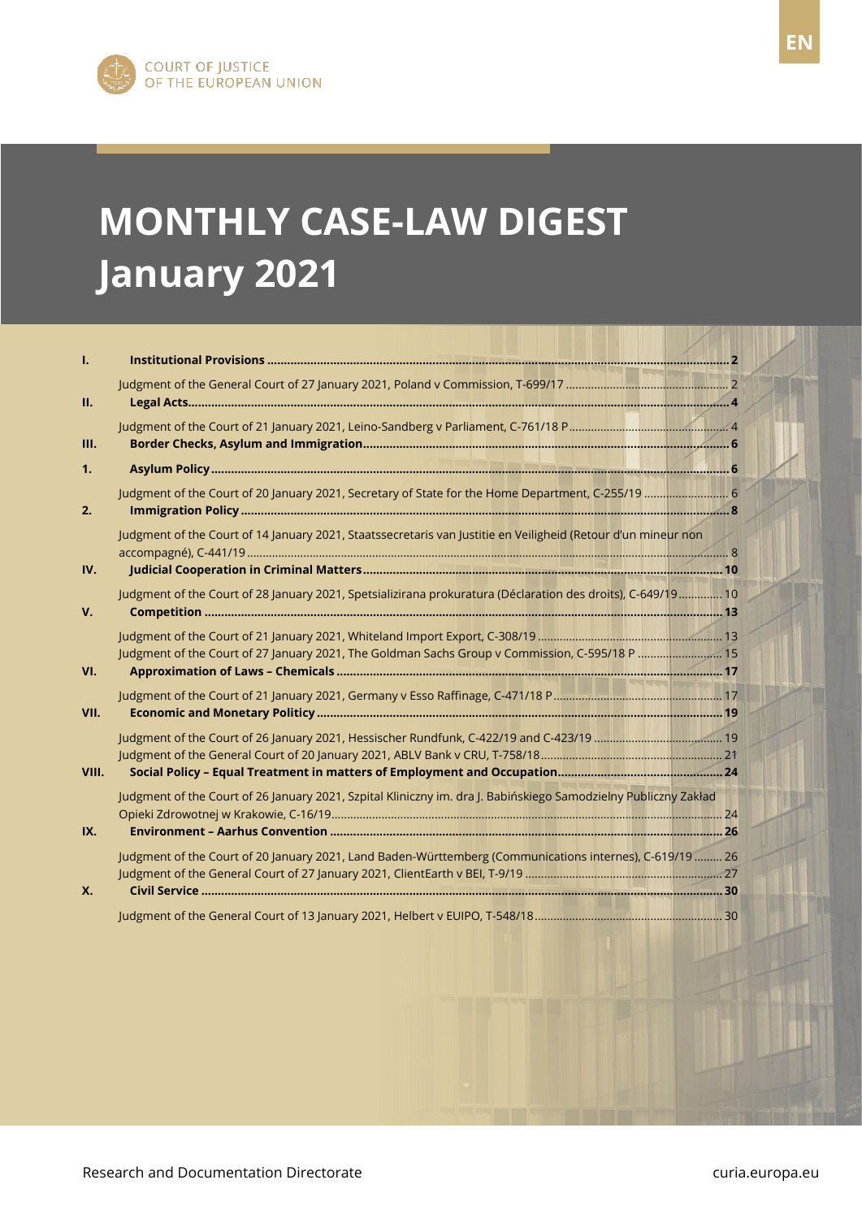# EN **January 2021MONTHLY CASE-LAW DIGEST**

| Т.          |                                                                                                                 |  |
|-------------|-----------------------------------------------------------------------------------------------------------------|--|
| Ш.          |                                                                                                                 |  |
| Ш.          |                                                                                                                 |  |
| 1.          |                                                                                                                 |  |
| 2.          | Judgment of the Court of 20 January 2021, Secretary of State for the Home Department, C-255/19  6               |  |
|             | Judgment of the Court of 14 January 2021, Staatssecretaris van Justitie en Veiligheid (Retour d'un mineur non   |  |
| IV.         |                                                                                                                 |  |
| $V_{\rm r}$ | Judgment of the Court of 28 January 2021, Spetsializirana prokuratura (Déclaration des droits), C-649/19 10     |  |
| VI.         | Judgment of the Court of 27 January 2021, The Goldman Sachs Group v Commission, C-595/18 P  15                  |  |
| VII.        |                                                                                                                 |  |
|             |                                                                                                                 |  |
| VIII.       |                                                                                                                 |  |
|             | Judgment of the Court of 26 January 2021, Szpital Kliniczny im. dra J. Babińskiego Samodzielny Publiczny Zakład |  |
| IX.         |                                                                                                                 |  |
| Х.          | Judgment of the Court of 20 January 2021, Land Baden-Württemberg (Communications internes), C-619/19  26        |  |
|             |                                                                                                                 |  |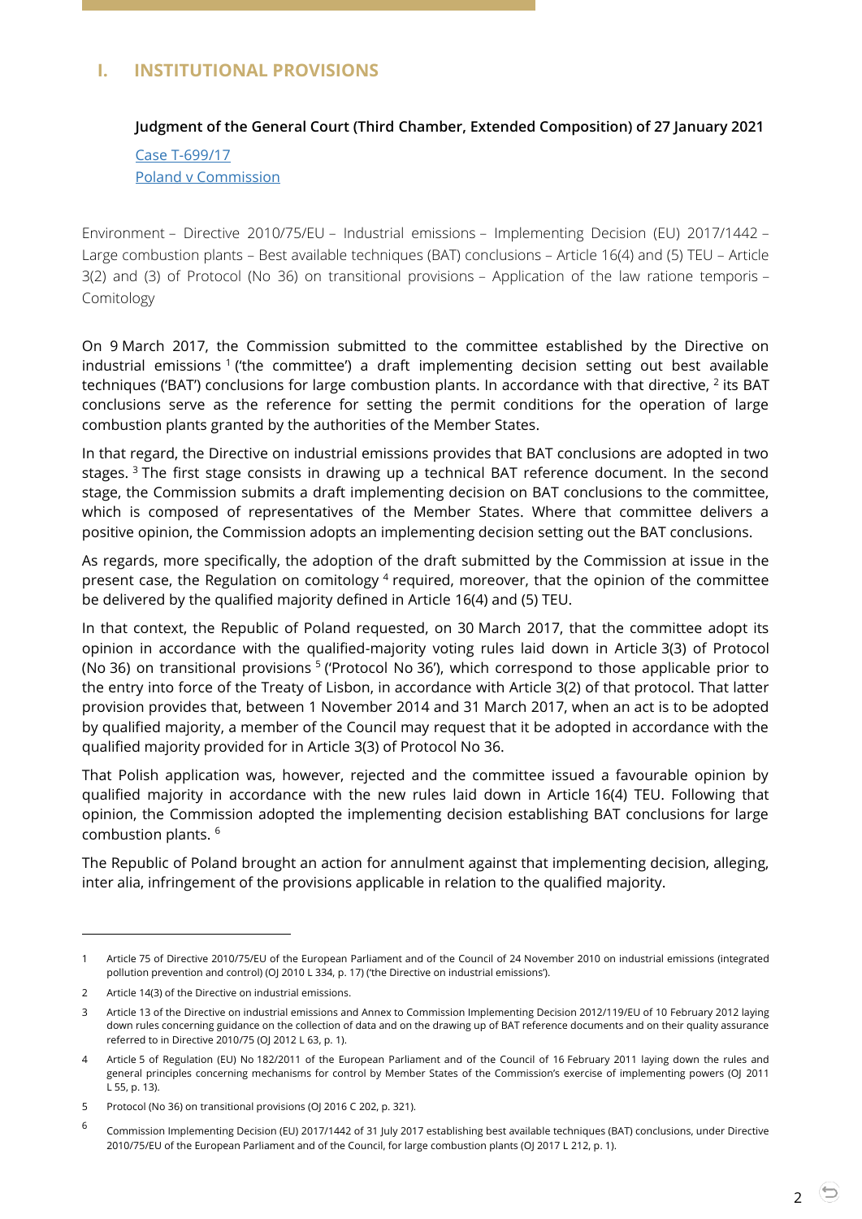## <span id="page-1-1"></span><span id="page-1-0"></span>**I. INSTITUTIONAL PROVISIONS**

#### **Judgment of the General Court (Third Chamber, Extended Composition) of 27 January 2021**

Case [T-699/17](http://curia.europa.eu/juris/document/document.jsf?text=&docid=237048&pageIndex=0&doclang=en&mode=lst&dir=&occ=first&part=1&cid=2064399) [Poland v Commission](http://curia.europa.eu/juris/document/document.jsf?text=&docid=237048&pageIndex=0&doclang=en&mode=lst&dir=&occ=first&part=1&cid=2064399)

Environment – Directive 2010/75/EU – Industrial emissions – Implementing Decision (EU) 2017/1442 – Large combustion plants – Best available techniques (BAT) conclusions – Article 16(4) and (5) TEU – Article 3(2) and (3) of Protocol (No 36) on transitional provisions – Application of the law ratione temporis – Comitology

On 9 March 2017, the Commission submitted to the committee established by the Directive on industrial emissions<sup>1</sup> ('the committee') a draft implementing decision setting out best available techniques ('BAT') conclusions for large combustion plants. In accordance with that directive,  $^2$  its BAT conclusions serve as the reference for setting the permit conditions for the operation of large combustion plants granted by the authorities of the Member States.

In that regard, the Directive on industrial emissions provides that BAT conclusions are adopted in two stages.<sup>3</sup> The first stage consists in drawing up a technical BAT reference document. In the second stage, the Commission submits a draft implementing decision on BAT conclusions to the committee, which is composed of representatives of the Member States. Where that committee delivers a positive opinion, the Commission adopts an implementing decision setting out the BAT conclusions.

As regards, more specifically, the adoption of the draft submitted by the Commission at issue in the present case, the Regulation on comitology <sup>4</sup> required, moreover, that the opinion of the committee be delivered by the qualified majority defined in Article 16(4) and (5) TEU.

In that context, the Republic of Poland requested, on 30 March 2017, that the committee adopt its opinion in accordance with the qualified-majority voting rules laid down in Article 3(3) of Protocol (No 36) on transitional provisions <sup>5</sup> ('Protocol No 36'), which correspond to those applicable prior to the entry into force of the Treaty of Lisbon, in accordance with Article 3(2) of that protocol. That latter provision provides that, between 1 November 2014 and 31 March 2017, when an act is to be adopted by qualified majority, a member of the Council may request that it be adopted in accordance with the qualified majority provided for in Article 3(3) of Protocol No 36.

That Polish application was, however, rejected and the committee issued a favourable opinion by qualified majority in accordance with the new rules laid down in Article 16(4) TEU. Following that opinion, the Commission adopted the implementing decision establishing BAT conclusions for large combustion plants. <sup>6</sup>

The Republic of Poland brought an action for annulment against that implementing decision, alleging, inter alia, infringement of the provisions applicable in relation to the qualified majority.

<sup>1</sup> Article 75 of Directive 2010/75/EU of the European Parliament and of the Council of 24 November 2010 on industrial emissions (integrated pollution prevention and control) (OJ 2010 L 334, p. 17) ('the Directive on industrial emissions').

<sup>2</sup> Article 14(3) of the Directive on industrial emissions.

<sup>3</sup> Article 13 of the Directive on industrial emissions and Annex to Commission Implementing Decision 2012/119/EU of 10 February 2012 laying down rules concerning guidance on the collection of data and on the drawing up of BAT reference documents and on their quality assurance referred to in Directive 2010/75 (OJ 2012 L 63, p. 1).

<sup>4</sup> Article 5 of Regulation (EU) No 182/2011 of the European Parliament and of the Council of 16 February 2011 laying down the rules and general principles concerning mechanisms for control by Member States of the Commission's exercise of implementing powers (OJ 2011 L 55, p. 13).

<sup>5</sup> Protocol (No 36) on transitional provisions (OJ 2016 C 202, p. 321).

<sup>6</sup> Commission Implementing Decision (EU) 2017/1442 of 31 July 2017 establishing best available techniques (BAT) conclusions, under Directive 2010/75/EU of the European Parliament and of the Council, for large combustion plants (OJ 2017 L 212, p. 1).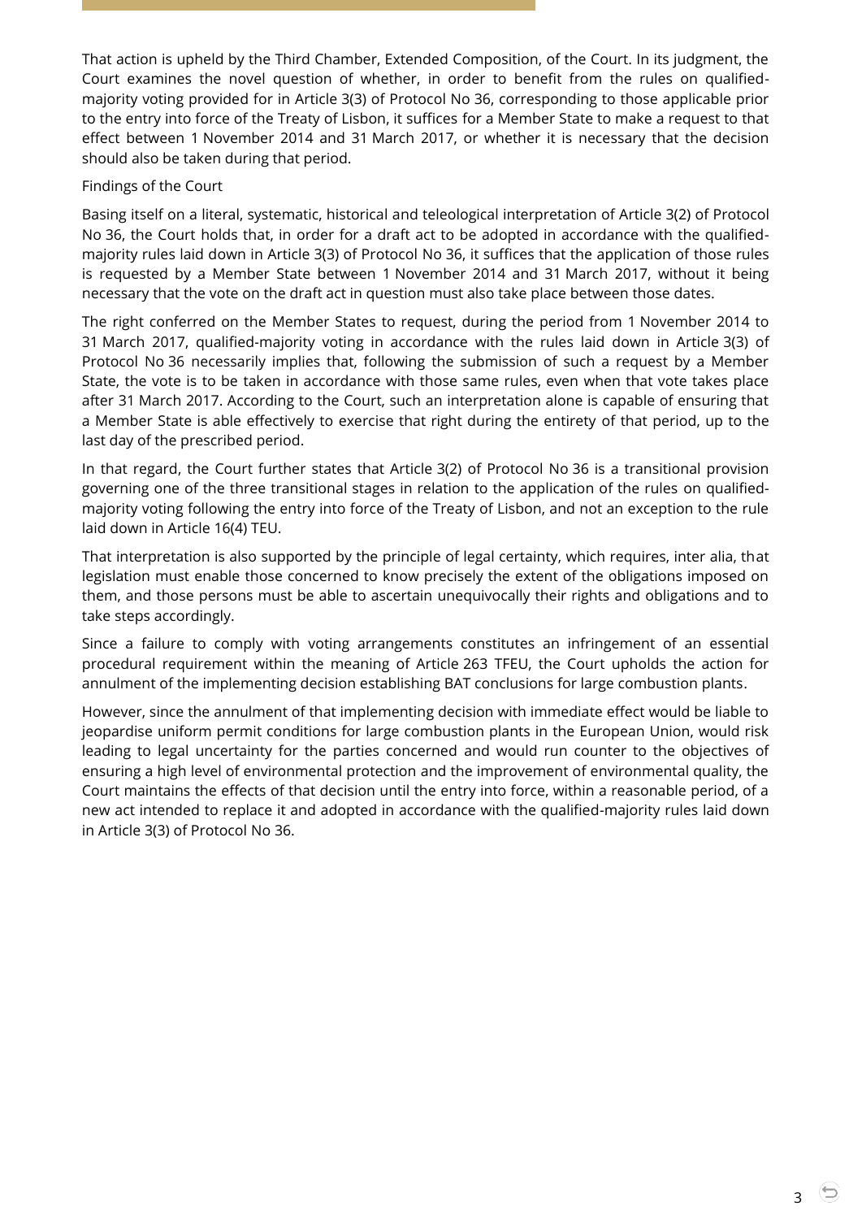That action is upheld by the Third Chamber, Extended Composition, of the Court. In its judgment, the Court examines the novel question of whether, in order to benefit from the rules on qualifiedmajority voting provided for in Article 3(3) of Protocol No 36, corresponding to those applicable prior to the entry into force of the Treaty of Lisbon, it suffices for a Member State to make a request to that effect between 1 November 2014 and 31 March 2017, or whether it is necessary that the decision should also be taken during that period.

#### Findings of the Court

Basing itself on a literal, systematic, historical and teleological interpretation of Article 3(2) of Protocol No 36, the Court holds that, in order for a draft act to be adopted in accordance with the qualifiedmajority rules laid down in Article 3(3) of Protocol No 36, it suffices that the application of those rules is requested by a Member State between 1 November 2014 and 31 March 2017, without it being necessary that the vote on the draft act in question must also take place between those dates.

The right conferred on the Member States to request, during the period from 1 November 2014 to 31 March 2017, qualified-majority voting in accordance with the rules laid down in Article 3(3) of Protocol No 36 necessarily implies that, following the submission of such a request by a Member State, the vote is to be taken in accordance with those same rules, even when that vote takes place after 31 March 2017. According to the Court, such an interpretation alone is capable of ensuring that a Member State is able effectively to exercise that right during the entirety of that period, up to the last day of the prescribed period.

In that regard, the Court further states that Article 3(2) of Protocol No 36 is a transitional provision governing one of the three transitional stages in relation to the application of the rules on qualifiedmajority voting following the entry into force of the Treaty of Lisbon, and not an exception to the rule laid down in Article 16(4) TEU.

That interpretation is also supported by the principle of legal certainty, which requires, inter alia, that legislation must enable those concerned to know precisely the extent of the obligations imposed on them, and those persons must be able to ascertain unequivocally their rights and obligations and to take steps accordingly.

Since a failure to comply with voting arrangements constitutes an infringement of an essential procedural requirement within the meaning of Article 263 TFEU, the Court upholds the action for annulment of the implementing decision establishing BAT conclusions for large combustion plants.

However, since the annulment of that implementing decision with immediate effect would be liable to jeopardise uniform permit conditions for large combustion plants in the European Union, would risk leading to legal uncertainty for the parties concerned and would run counter to the objectives of ensuring a high level of environmental protection and the improvement of environmental quality, the Court maintains the effects of that decision until the entry into force, within a reasonable period, of a new act intended to replace it and adopted in accordance with the qualified-majority rules laid down in Article 3(3) of Protocol No 36.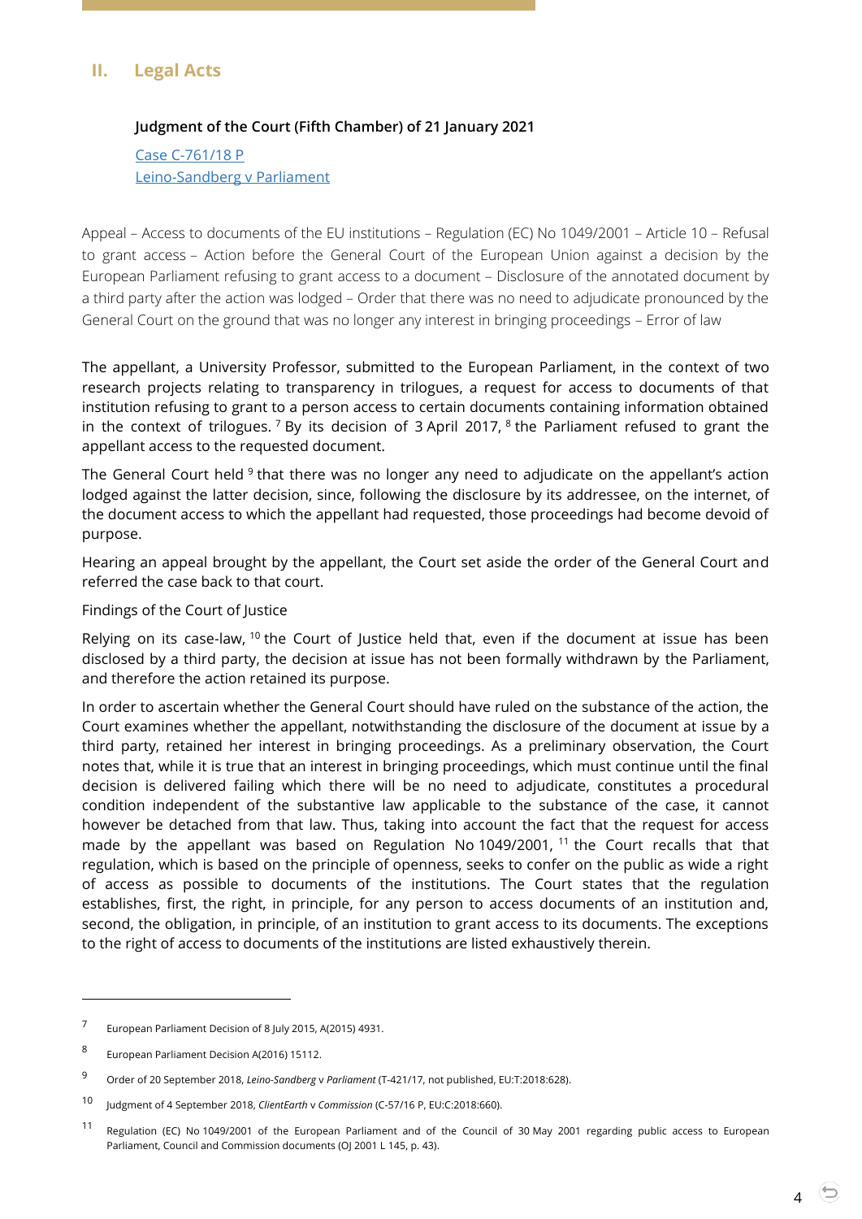## <span id="page-3-1"></span><span id="page-3-0"></span>**II. Legal Acts**

#### **Judgment of the Court (Fifth Chamber) of 21 January 2021**

Case [C-761/18](http://curia.europa.eu/juris/document/document.jsf?text=&docid=236723&pageIndex=0&doclang=en&mode=lst&dir=&occ=first&part=1&cid=2066263) P [Leino-Sandberg v Parliament](http://curia.europa.eu/juris/document/document.jsf?text=&docid=236723&pageIndex=0&doclang=en&mode=lst&dir=&occ=first&part=1&cid=2066263)

Appeal – Access to documents of the EU institutions – Regulation (EC) No 1049/2001 – Article 10 – Refusal to grant access – Action before the General Court of the European Union against a decision by the European Parliament refusing to grant access to a document – Disclosure of the annotated document by a third party after the action was lodged – Order that there was no need to adjudicate pronounced by the General Court on the ground that was no longer any interest in bringing proceedings – Error of law

The appellant, a University Professor, submitted to the European Parliament, in the context of two research projects relating to transparency in trilogues, a request for access to documents of that institution refusing to grant to a person access to certain documents containing information obtained in the context of trilogues. <sup>7</sup> By its decision of 3 April 2017, <sup>8</sup> the Parliament refused to grant the appellant access to the requested document.

The General Court held <sup>9</sup> that there was no longer any need to adjudicate on the appellant's action lodged against the latter decision, since, following the disclosure by its addressee, on the internet, of the document access to which the appellant had requested, those proceedings had become devoid of purpose.

Hearing an appeal brought by the appellant, the Court set aside the order of the General Court and referred the case back to that court.

Findings of the Court of Justice

Relying on its case-law, <sup>10</sup> the Court of Justice held that, even if the document at issue has been disclosed by a third party, the decision at issue has not been formally withdrawn by the Parliament, and therefore the action retained its purpose.

In order to ascertain whether the General Court should have ruled on the substance of the action, the Court examines whether the appellant, notwithstanding the disclosure of the document at issue by a third party, retained her interest in bringing proceedings. As a preliminary observation, the Court notes that, while it is true that an interest in bringing proceedings, which must continue until the final decision is delivered failing which there will be no need to adjudicate, constitutes a procedural condition independent of the substantive law applicable to the substance of the case, it cannot however be detached from that law. Thus, taking into account the fact that the request for access made by the appellant was based on Regulation No  $1049/2001$ ,  $11$  the Court recalls that that regulation, which is based on the principle of openness, seeks to confer on the public as wide a right of access as possible to documents of the institutions. The Court states that the regulation establishes, first, the right, in principle, for any person to access documents of an institution and, second, the obligation, in principle, of an institution to grant access to its documents. The exceptions to the right of access to documents of the institutions are listed exhaustively therein.

<sup>7</sup> European Parliament Decision of 8 July 2015, A(2015) 4931.

<sup>8</sup> European Parliament Decision A(2016) 15112.

<sup>9</sup> Order of 20 September 2018, *Leino-Sandberg* <sup>v</sup>*Parliament* (T-421/17, not published, EU:T:2018:628).

<sup>10</sup> Judgment of 4 September 2018, *ClientEarth* <sup>v</sup>*Commission* (C-57/16 P, EU:C:2018:660).

<sup>11</sup> Regulation (EC) No 1049/2001 of the European Parliament and of the Council of 30 May 2001 regarding public access to European Parliament, Council and Commission documents (OJ 2001 L 145, p. 43).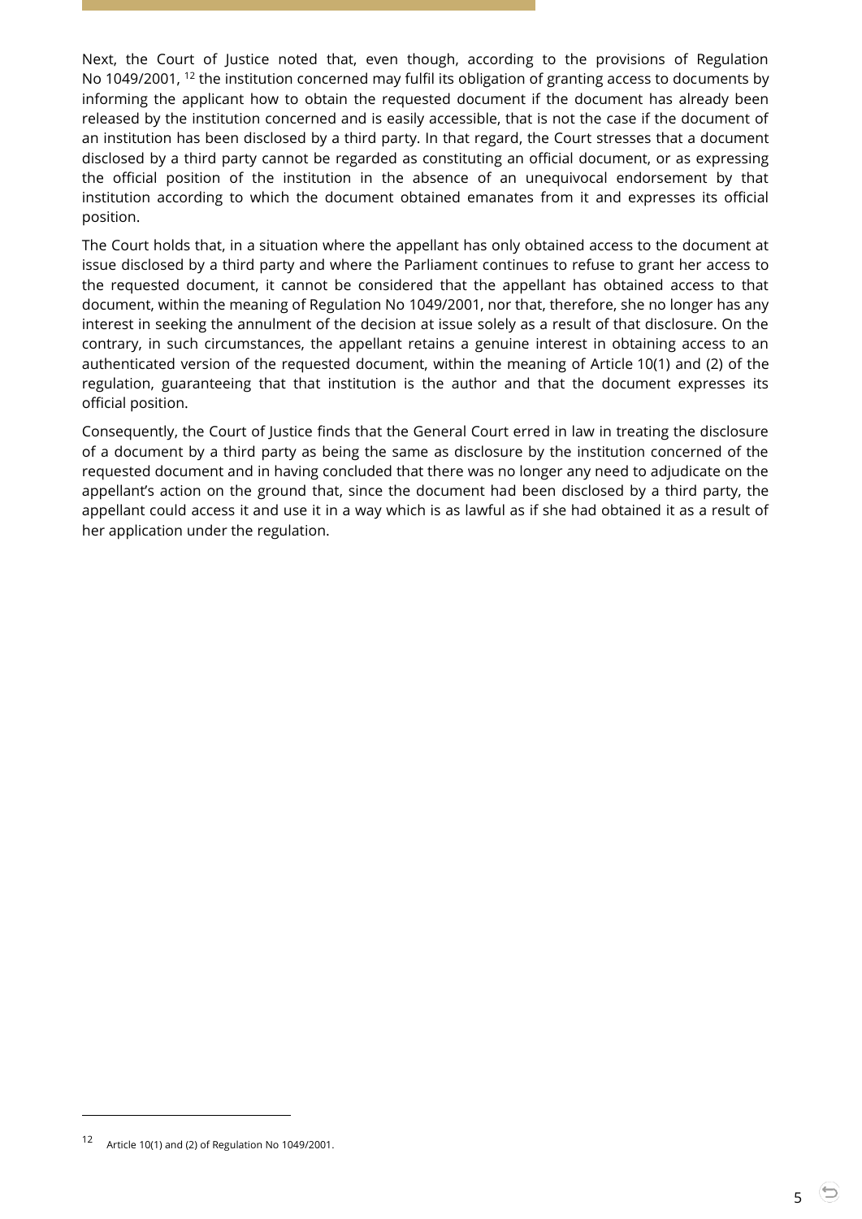Next, the Court of Justice noted that, even though, according to the provisions of Regulation No 1049/2001, <sup>12</sup> the institution concerned may fulfil its obligation of granting access to documents by informing the applicant how to obtain the requested document if the document has already been released by the institution concerned and is easily accessible, that is not the case if the document of an institution has been disclosed by a third party. In that regard, the Court stresses that a document disclosed by a third party cannot be regarded as constituting an official document, or as expressing the official position of the institution in the absence of an unequivocal endorsement by that institution according to which the document obtained emanates from it and expresses its official position.

The Court holds that, in a situation where the appellant has only obtained access to the document at issue disclosed by a third party and where the Parliament continues to refuse to grant her access to the requested document, it cannot be considered that the appellant has obtained access to that document, within the meaning of Regulation No 1049/2001, nor that, therefore, she no longer has any interest in seeking the annulment of the decision at issue solely as a result of that disclosure. On the contrary, in such circumstances, the appellant retains a genuine interest in obtaining access to an authenticated version of the requested document, within the meaning of Article 10(1) and (2) of the regulation, guaranteeing that that institution is the author and that the document expresses its official position.

Consequently, the Court of Justice finds that the General Court erred in law in treating the disclosure of a document by a third party as being the same as disclosure by the institution concerned of the requested document and in having concluded that there was no longer any need to adjudicate on the appellant's action on the ground that, since the document had been disclosed by a third party, the appellant could access it and use it in a way which is as lawful as if she had obtained it as a result of her application under the regulation.

<sup>12</sup> Article 10(1) and (2) of Regulation No 1049/2001.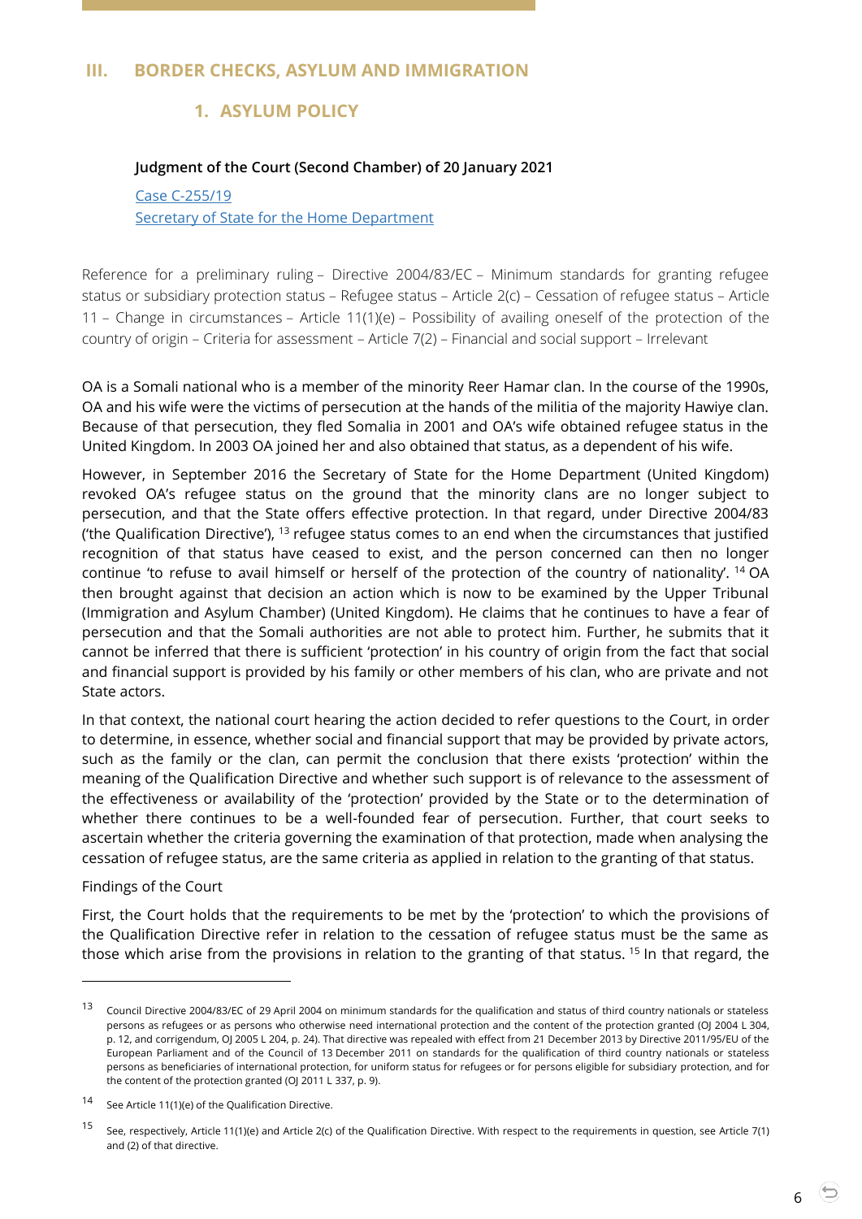## <span id="page-5-2"></span><span id="page-5-1"></span><span id="page-5-0"></span>**III. BORDER CHECKS, ASYLUM AND IMMIGRATION**

# **1. ASYLUM POLICY**

#### **Judgment of the Court (Second Chamber) of 20 January 2021**

#### Case [C-255/19](http://curia.europa.eu/juris/document/document.jsf?text=&docid=236682&pageIndex=0&doclang=en&mode=lst&dir=&occ=first&part=1&cid=2071783) [Secretary of State for the Home Department](http://curia.europa.eu/juris/document/document.jsf?text=&docid=236682&pageIndex=0&doclang=en&mode=lst&dir=&occ=first&part=1&cid=2071783)

Reference for a preliminary ruling – Directive 2004/83/EC – Minimum standards for granting refugee status or subsidiary protection status – Refugee status – Article 2(c) – Cessation of refugee status – Article 11 – Change in circumstances – Article 11(1)(e) – Possibility of availing oneself of the protection of the country of origin – Criteria for assessment – Article 7(2) – Financial and social support – Irrelevant

OA is a Somali national who is a member of the minority Reer Hamar clan. In the course of the 1990s, OA and his wife were the victims of persecution at the hands of the militia of the majority Hawiye clan. Because of that persecution, they fled Somalia in 2001 and OA's wife obtained refugee status in the United Kingdom. In 2003 OA joined her and also obtained that status, as a dependent of his wife.

However, in September 2016 the Secretary of State for the Home Department (United Kingdom) revoked OA's refugee status on the ground that the minority clans are no longer subject to persecution, and that the State offers effective protection. In that regard, under Directive 2004/83 ('the Qualification Directive'),  $^{13}$  refugee status comes to an end when the circumstances that justified recognition of that status have ceased to exist, and the person concerned can then no longer continue 'to refuse to avail himself or herself of the protection of the country of nationality'. <sup>14</sup> OA then brought against that decision an action which is now to be examined by the Upper Tribunal (Immigration and Asylum Chamber) (United Kingdom). He claims that he continues to have a fear of persecution and that the Somali authorities are not able to protect him. Further, he submits that it cannot be inferred that there is sufficient 'protection' in his country of origin from the fact that social and financial support is provided by his family or other members of his clan, who are private and not State actors.

In that context, the national court hearing the action decided to refer questions to the Court, in order to determine, in essence, whether social and financial support that may be provided by private actors, such as the family or the clan, can permit the conclusion that there exists 'protection' within the meaning of the Qualification Directive and whether such support is of relevance to the assessment of the effectiveness or availability of the 'protection' provided by the State or to the determination of whether there continues to be a well-founded fear of persecution. Further, that court seeks to ascertain whether the criteria governing the examination of that protection, made when analysing the cessation of refugee status, are the same criteria as applied in relation to the granting of that status.

#### Findings of the Court

 $\overline{a}$ 

First, the Court holds that the requirements to be met by the 'protection' to which the provisions of the Qualification Directive refer in relation to the cessation of refugee status must be the same as those which arise from the provisions in relation to the granting of that status. <sup>15</sup> In that regard, the

6

<sup>&</sup>lt;sup>13</sup> Council Directive 2004/83/EC of 29 April 2004 on minimum standards for the qualification and status of third country nationals or stateless persons as refugees or as persons who otherwise need international protection and the content of the protection granted (OJ 2004 L 304, p. 12, and corrigendum, OJ 2005 L 204, p. 24). That directive was repealed with effect from 21 December 2013 by Directive 2011/95/EU of the European Parliament and of the Council of 13 December 2011 on standards for the qualification of third country nationals or stateless persons as beneficiaries of international protection, for uniform status for refugees or for persons eligible for subsidiary protection, and for the content of the protection granted (OJ 2011 L 337, p. 9).

<sup>14</sup> See Article 11(1)(e) of the Qualification Directive.

<sup>&</sup>lt;sup>15</sup> See, respectively, Article 11(1)(e) and Article 2(c) of the Qualification Directive. With respect to the requirements in question, see Article 7(1) and (2) of that directive.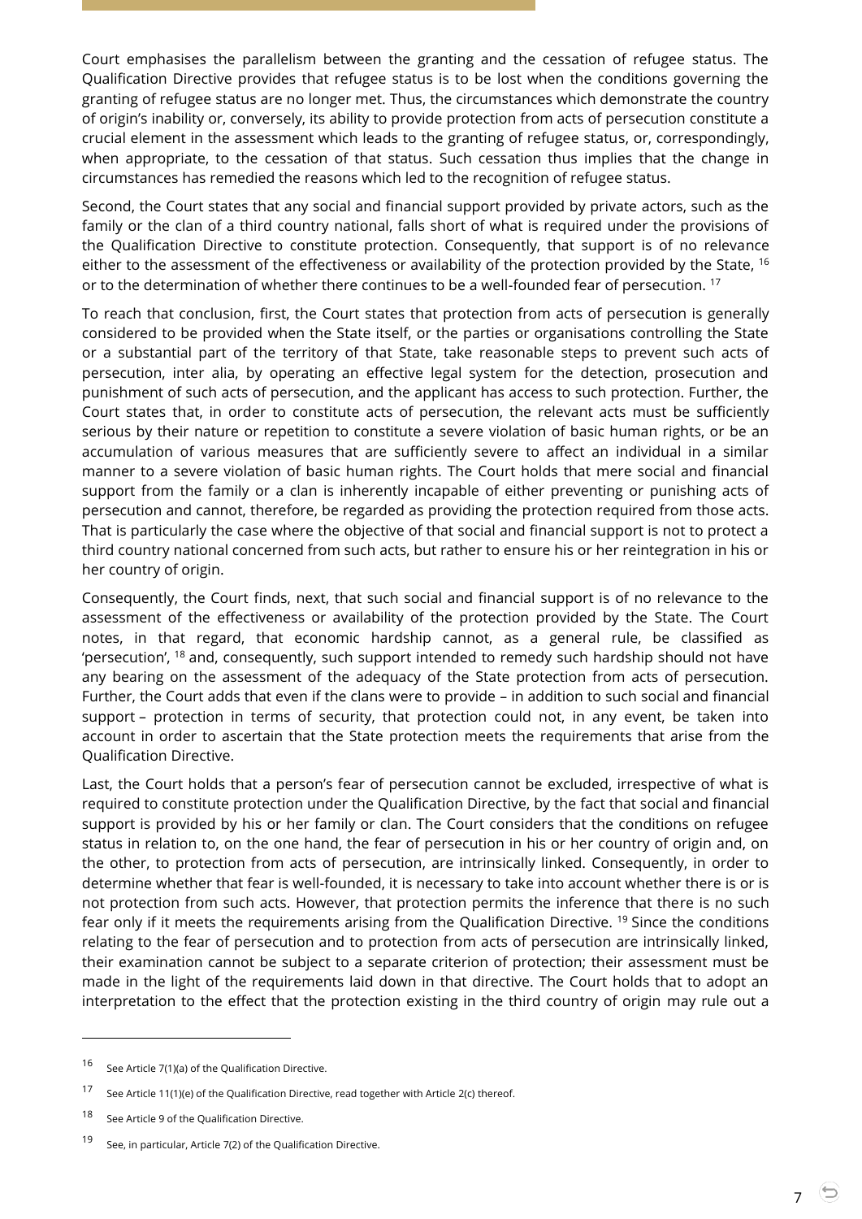Court emphasises the parallelism between the granting and the cessation of refugee status. The Qualification Directive provides that refugee status is to be lost when the conditions governing the granting of refugee status are no longer met. Thus, the circumstances which demonstrate the country of origin's inability or, conversely, its ability to provide protection from acts of persecution constitute a crucial element in the assessment which leads to the granting of refugee status, or, correspondingly, when appropriate, to the cessation of that status. Such cessation thus implies that the change in circumstances has remedied the reasons which led to the recognition of refugee status.

Second, the Court states that any social and financial support provided by private actors, such as the family or the clan of a third country national, falls short of what is required under the provisions of the Qualification Directive to constitute protection. Consequently, that support is of no relevance either to the assessment of the effectiveness or availability of the protection provided by the State, <sup>16</sup> or to the determination of whether there continues to be a well-founded fear of persecution. <sup>17</sup>

To reach that conclusion, first, the Court states that protection from acts of persecution is generally considered to be provided when the State itself, or the parties or organisations controlling the State or a substantial part of the territory of that State, take reasonable steps to prevent such acts of persecution, inter alia, by operating an effective legal system for the detection, prosecution and punishment of such acts of persecution, and the applicant has access to such protection. Further, the Court states that, in order to constitute acts of persecution, the relevant acts must be sufficiently serious by their nature or repetition to constitute a severe violation of basic human rights, or be an accumulation of various measures that are sufficiently severe to affect an individual in a similar manner to a severe violation of basic human rights. The Court holds that mere social and financial support from the family or a clan is inherently incapable of either preventing or punishing acts of persecution and cannot, therefore, be regarded as providing the protection required from those acts. That is particularly the case where the objective of that social and financial support is not to protect a third country national concerned from such acts, but rather to ensure his or her reintegration in his or her country of origin.

Consequently, the Court finds, next, that such social and financial support is of no relevance to the assessment of the effectiveness or availability of the protection provided by the State. The Court notes, in that regard, that economic hardship cannot, as a general rule, be classified as 'persecution', <sup>18</sup> and, consequently, such support intended to remedy such hardship should not have any bearing on the assessment of the adequacy of the State protection from acts of persecution. Further, the Court adds that even if the clans were to provide – in addition to such social and financial support – protection in terms of security, that protection could not, in any event, be taken into account in order to ascertain that the State protection meets the requirements that arise from the Qualification Directive.

Last, the Court holds that a person's fear of persecution cannot be excluded, irrespective of what is required to constitute protection under the Qualification Directive, by the fact that social and financial support is provided by his or her family or clan. The Court considers that the conditions on refugee status in relation to, on the one hand, the fear of persecution in his or her country of origin and, on the other, to protection from acts of persecution, are intrinsically linked. Consequently, in order to determine whether that fear is well-founded, it is necessary to take into account whether there is or is not protection from such acts. However, that protection permits the inference that there is no such fear only if it meets the requirements arising from the Qualification Directive. <sup>19</sup> Since the conditions relating to the fear of persecution and to protection from acts of persecution are intrinsically linked, their examination cannot be subject to a separate criterion of protection; their assessment must be made in the light of the requirements laid down in that directive. The Court holds that to adopt an interpretation to the effect that the protection existing in the third country of origin may rule out a

-

<sup>16</sup> See Article 7(1)(a) of the Qualification Directive.

<sup>17</sup> See Article 11(1)(e) of the Qualification Directive, read together with Article 2(c) thereof.

<sup>18</sup> See Article 9 of the Qualification Directive.

<sup>19</sup> See, in particular, Article 7(2) of the Qualification Directive.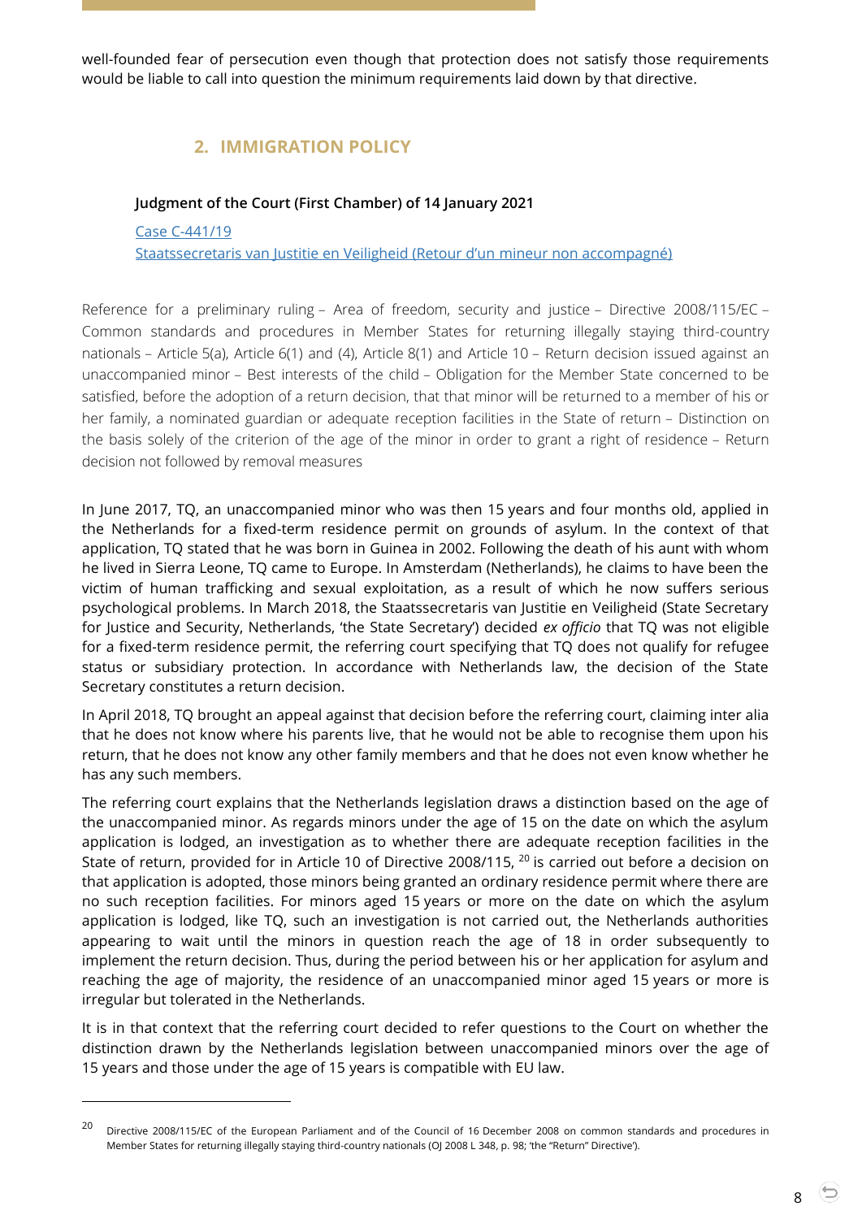<span id="page-7-0"></span>well-founded fear of persecution even though that protection does not satisfy those requirements would be liable to call into question the minimum requirements laid down by that directive.

# **2. IMMIGRATION POLICY**

## <span id="page-7-1"></span>**Judgment of the Court (First Chamber) of 14 January 2021**

Case [C-441/19](http://curia.europa.eu/juris/document/document.jsf?text=&docid=236422&pageIndex=0&doclang=en&mode=lst&dir=&occ=first&part=1&cid=2073756) [Staatssecretaris van Justitie en Veiligheid \(Retour d'un](http://curia.europa.eu/juris/document/document.jsf?text=&docid=236422&pageIndex=0&doclang=en&mode=lst&dir=&occ=first&part=1&cid=2073756) mineur non accompagné)

Reference for a preliminary ruling – Area of freedom, security and justice – Directive 2008/115/EC – Common standards and procedures in Member States for returning illegally staying third-country nationals – Article 5(a), Article 6(1) and (4), Article 8(1) and Article 10 – Return decision issued against an unaccompanied minor – Best interests of the child – Obligation for the Member State concerned to be satisfied, before the adoption of a return decision, that that minor will be returned to a member of his or her family, a nominated guardian or adequate reception facilities in the State of return – Distinction on the basis solely of the criterion of the age of the minor in order to grant a right of residence – Return decision not followed by removal measures

In June 2017, TQ, an unaccompanied minor who was then 15 years and four months old, applied in the Netherlands for a fixed-term residence permit on grounds of asylum. In the context of that application, TQ stated that he was born in Guinea in 2002. Following the death of his aunt with whom he lived in Sierra Leone, TQ came to Europe. In Amsterdam (Netherlands), he claims to have been the victim of human trafficking and sexual exploitation, as a result of which he now suffers serious psychological problems. In March 2018, the Staatssecretaris van Justitie en Veiligheid (State Secretary for Justice and Security, Netherlands, 'the State Secretary') decided *ex officio* that TQ was not eligible for a fixed-term residence permit, the referring court specifying that TQ does not qualify for refugee status or subsidiary protection. In accordance with Netherlands law, the decision of the State Secretary constitutes a return decision.

In April 2018, TQ brought an appeal against that decision before the referring court, claiming inter alia that he does not know where his parents live, that he would not be able to recognise them upon his return, that he does not know any other family members and that he does not even know whether he has any such members.

The referring court explains that the Netherlands legislation draws a distinction based on the age of the unaccompanied minor. As regards minors under the age of 15 on the date on which the asylum application is lodged, an investigation as to whether there are adequate reception facilities in the State of return, provided for in Article 10 of Directive 2008/115, <sup>20</sup> is carried out before a decision on that application is adopted, those minors being granted an ordinary residence permit where there are no such reception facilities. For minors aged 15 years or more on the date on which the asylum application is lodged, like TQ, such an investigation is not carried out, the Netherlands authorities appearing to wait until the minors in question reach the age of 18 in order subsequently to implement the return decision. Thus, during the period between his or her application for asylum and reaching the age of majority, the residence of an unaccompanied minor aged 15 years or more is irregular but tolerated in the Netherlands.

It is in that context that the referring court decided to refer questions to the Court on whether the distinction drawn by the Netherlands legislation between unaccompanied minors over the age of 15 years and those under the age of 15 years is compatible with EU law.

<sup>&</sup>lt;sup>20</sup> Directive 2008/115/EC of the European Parliament and of the Council of 16 December 2008 on common standards and procedures in Member States for returning illegally staying third-country nationals (OJ 2008 L 348, p. 98; 'the "Return" Directive').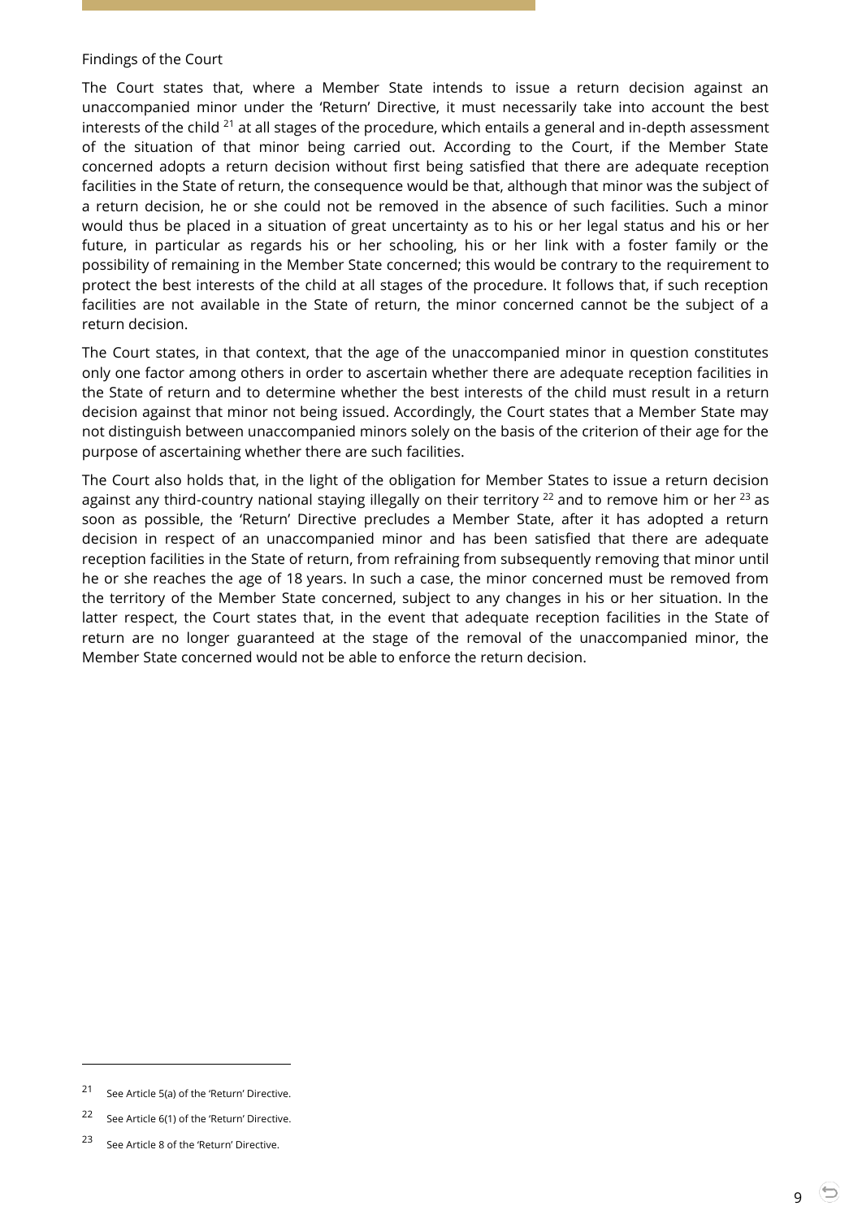#### Findings of the Court

The Court states that, where a Member State intends to issue a return decision against an unaccompanied minor under the 'Return' Directive, it must necessarily take into account the best interests of the child  $^{21}$  at all stages of the procedure, which entails a general and in-depth assessment of the situation of that minor being carried out. According to the Court, if the Member State concerned adopts a return decision without first being satisfied that there are adequate reception facilities in the State of return, the consequence would be that, although that minor was the subject of a return decision, he or she could not be removed in the absence of such facilities. Such a minor would thus be placed in a situation of great uncertainty as to his or her legal status and his or her future, in particular as regards his or her schooling, his or her link with a foster family or the possibility of remaining in the Member State concerned; this would be contrary to the requirement to protect the best interests of the child at all stages of the procedure. It follows that, if such reception facilities are not available in the State of return, the minor concerned cannot be the subject of a return decision.

The Court states, in that context, that the age of the unaccompanied minor in question constitutes only one factor among others in order to ascertain whether there are adequate reception facilities in the State of return and to determine whether the best interests of the child must result in a return decision against that minor not being issued. Accordingly, the Court states that a Member State may not distinguish between unaccompanied minors solely on the basis of the criterion of their age for the purpose of ascertaining whether there are such facilities.

The Court also holds that, in the light of the obligation for Member States to issue a return decision against any third-country national staying illegally on their territory  $^{22}$  and to remove him or her  $^{23}$  as soon as possible, the 'Return' Directive precludes a Member State, after it has adopted a return decision in respect of an unaccompanied minor and has been satisfied that there are adequate reception facilities in the State of return, from refraining from subsequently removing that minor until he or she reaches the age of 18 years. In such a case, the minor concerned must be removed from the territory of the Member State concerned, subject to any changes in his or her situation. In the latter respect, the Court states that, in the event that adequate reception facilities in the State of return are no longer guaranteed at the stage of the removal of the unaccompanied minor, the Member State concerned would not be able to enforce the return decision.

-

<sup>21</sup> See Article 5(a) of the 'Return' Directive.

<sup>22</sup> See Article 6(1) of the 'Return' Directive.

<sup>23</sup> See Article 8 of the 'Return' Directive.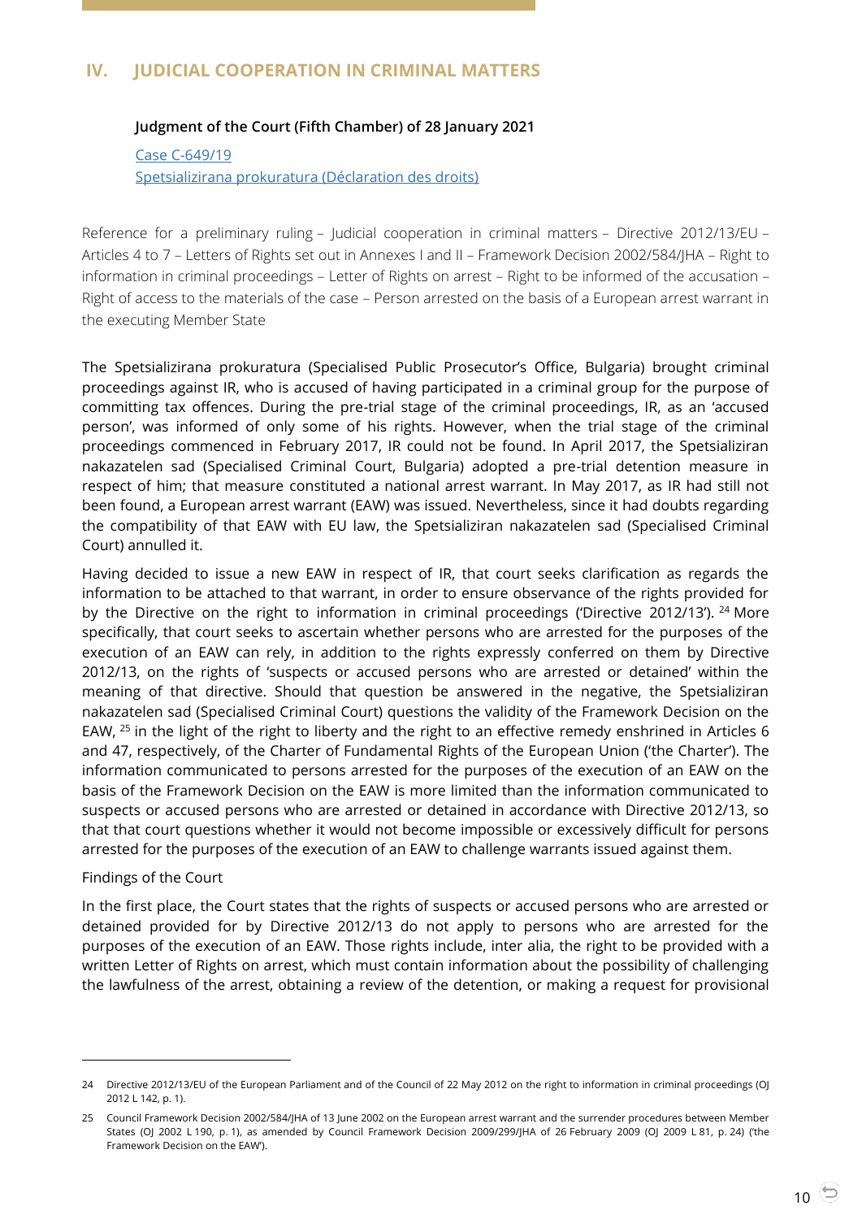## <span id="page-9-1"></span><span id="page-9-0"></span>**IV. JUDICIAL COOPERATION IN CRIMINAL MATTERS**

#### **Judgment of the Court (Fifth Chamber) of 28 January 2021**

Case [C-649/19](http://curia.europa.eu/juris/document/document.jsf?text=&docid=237088&pageIndex=0&doclang=en&mode=lst&dir=&occ=first&part=1&cid=2078651) [Spetsializirana prokuratura \(Déclaration des droits\)](http://curia.europa.eu/juris/document/document.jsf?text=&docid=237088&pageIndex=0&doclang=en&mode=lst&dir=&occ=first&part=1&cid=2078651)

Reference for a preliminary ruling – Judicial cooperation in criminal matters – Directive 2012/13/EU – Articles 4 to 7 – Letters of Rights set out in Annexes I and II – Framework Decision 2002/584/JHA – Right to information in criminal proceedings – Letter of Rights on arrest – Right to be informed of the accusation – Right of access to the materials of the case – Person arrested on the basis of a European arrest warrant in the executing Member State

The Spetsializirana prokuratura (Specialised Public Prosecutor's Office, Bulgaria) brought criminal proceedings against IR, who is accused of having participated in a criminal group for the purpose of committing tax offences. During the pre-trial stage of the criminal proceedings, IR, as an 'accused person', was informed of only some of his rights. However, when the trial stage of the criminal proceedings commenced in February 2017, IR could not be found. In April 2017, the Spetsializiran nakazatelen sad (Specialised Criminal Court, Bulgaria) adopted a pre-trial detention measure in respect of him; that measure constituted a national arrest warrant. In May 2017, as IR had still not been found, a European arrest warrant (EAW) was issued. Nevertheless, since it had doubts regarding the compatibility of that EAW with EU law, the Spetsializiran nakazatelen sad (Specialised Criminal Court) annulled it.

Having decided to issue a new EAW in respect of IR, that court seeks clarification as regards the information to be attached to that warrant, in order to ensure observance of the rights provided for by the Directive on the right to information in criminal proceedings ('Directive 2012/13'). <sup>24</sup> More specifically, that court seeks to ascertain whether persons who are arrested for the purposes of the execution of an EAW can rely, in addition to the rights expressly conferred on them by Directive 2012/13, on the rights of 'suspects or accused persons who are arrested or detained' within the meaning of that directive. Should that question be answered in the negative, the Spetsializiran nakazatelen sad (Specialised Criminal Court) questions the validity of the Framework Decision on the EAW,  $25$  in the light of the right to liberty and the right to an effective remedy enshrined in Articles 6 and 47, respectively, of the Charter of Fundamental Rights of the European Union ('the Charter'). The information communicated to persons arrested for the purposes of the execution of an EAW on the basis of the Framework Decision on the EAW is more limited than the information communicated to suspects or accused persons who are arrested or detained in accordance with Directive 2012/13, so that that court questions whether it would not become impossible or excessively difficult for persons arrested for the purposes of the execution of an EAW to challenge warrants issued against them.

#### Findings of the Court

 $\overline{a}$ 

In the first place, the Court states that the rights of suspects or accused persons who are arrested or detained provided for by Directive 2012/13 do not apply to persons who are arrested for the purposes of the execution of an EAW. Those rights include, inter alia, the right to be provided with a written Letter of Rights on arrest, which must contain information about the possibility of challenging the lawfulness of the arrest, obtaining a review of the detention, or making a request for provisional

<sup>24</sup> Directive 2012/13/EU of the European Parliament and of the Council of 22 May 2012 on the right to information in criminal proceedings (OJ 2012 L 142, p. 1).

<sup>25</sup> Council Framework Decision 2002/584/JHA of 13 June 2002 on the European arrest warrant and the surrender procedures between Member States (OJ 2002 L 190, p. 1), as amended by Council Framework Decision 2009/299/JHA of 26 February 2009 (OJ 2009 L 81, p. 24) ('the Framework Decision on the EAW').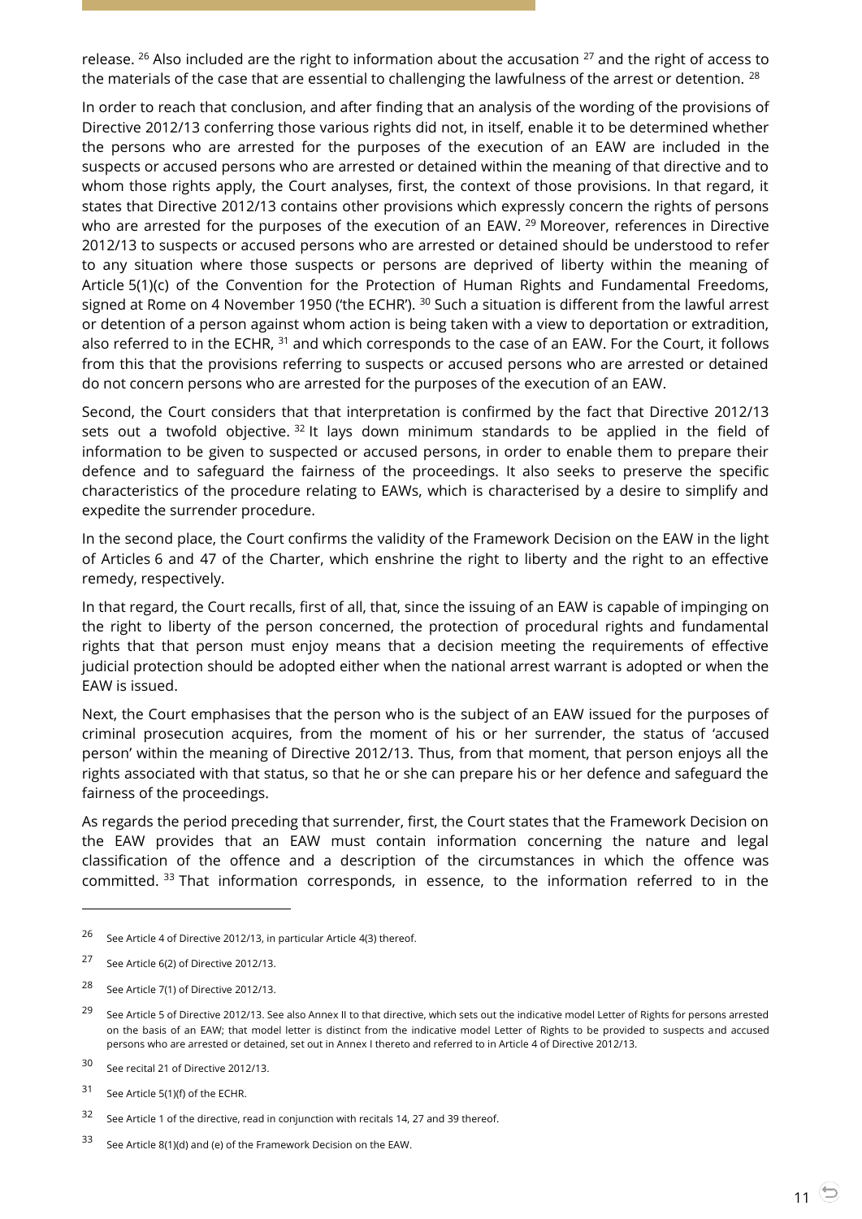release.  $26$  Also included are the right to information about the accusation  $27$  and the right of access to the materials of the case that are essential to challenging the lawfulness of the arrest or detention.  $^{28}$ 

In order to reach that conclusion, and after finding that an analysis of the wording of the provisions of Directive 2012/13 conferring those various rights did not, in itself, enable it to be determined whether the persons who are arrested for the purposes of the execution of an EAW are included in the suspects or accused persons who are arrested or detained within the meaning of that directive and to whom those rights apply, the Court analyses, first, the context of those provisions. In that regard, it states that Directive 2012/13 contains other provisions which expressly concern the rights of persons who are arrested for the purposes of the execution of an EAW. <sup>29</sup> Moreover, references in Directive 2012/13 to suspects or accused persons who are arrested or detained should be understood to refer to any situation where those suspects or persons are deprived of liberty within the meaning of Article 5(1)(c) of the Convention for the Protection of Human Rights and Fundamental Freedoms, signed at Rome on 4 November 1950 ('the ECHR'). <sup>30</sup> Such a situation is different from the lawful arrest or detention of a person against whom action is being taken with a view to deportation or extradition, also referred to in the ECHR, <sup>31</sup> and which corresponds to the case of an EAW. For the Court, it follows from this that the provisions referring to suspects or accused persons who are arrested or detained do not concern persons who are arrested for the purposes of the execution of an EAW.

Second, the Court considers that that interpretation is confirmed by the fact that Directive 2012/13 sets out a twofold objective.  $32$  It lays down minimum standards to be applied in the field of information to be given to suspected or accused persons, in order to enable them to prepare their defence and to safeguard the fairness of the proceedings. It also seeks to preserve the specific characteristics of the procedure relating to EAWs, which is characterised by a desire to simplify and expedite the surrender procedure.

In the second place, the Court confirms the validity of the Framework Decision on the EAW in the light of Articles 6 and 47 of the Charter, which enshrine the right to liberty and the right to an effective remedy, respectively.

In that regard, the Court recalls, first of all, that, since the issuing of an EAW is capable of impinging on the right to liberty of the person concerned, the protection of procedural rights and fundamental rights that that person must enjoy means that a decision meeting the requirements of effective judicial protection should be adopted either when the national arrest warrant is adopted or when the EAW is issued.

Next, the Court emphasises that the person who is the subject of an EAW issued for the purposes of criminal prosecution acquires, from the moment of his or her surrender, the status of 'accused person' within the meaning of Directive 2012/13. Thus, from that moment, that person enjoys all the rights associated with that status, so that he or she can prepare his or her defence and safeguard the fairness of the proceedings.

As regards the period preceding that surrender, first, the Court states that the Framework Decision on the EAW provides that an EAW must contain information concerning the nature and legal classification of the offence and a description of the circumstances in which the offence was committed. <sup>33</sup> That information corresponds, in essence, to the information referred to in the

<sup>&</sup>lt;sup>26</sup> See Article 4 of Directive 2012/13, in particular Article 4(3) thereof.

<sup>27</sup> See Article 6(2) of Directive 2012/13.

<sup>28</sup> See Article 7(1) of Directive 2012/13.

<sup>&</sup>lt;sup>29</sup> See Article 5 of Directive 2012/13. See also Annex II to that directive, which sets out the indicative model Letter of Rights for persons arrested on the basis of an EAW; that model letter is distinct from the indicative model Letter of Rights to be provided to suspects and accused persons who are arrested or detained, set out in Annex I thereto and referred to in Article 4 of Directive 2012/13.

<sup>30</sup> See recital 21 of Directive 2012/13.

<sup>31</sup> See Article 5(1)(f) of the ECHR.

<sup>&</sup>lt;sup>32</sup> See Article 1 of the directive, read in conjunction with recitals 14, 27 and 39 thereof.

<sup>33</sup> See Article 8(1)(d) and (e) of the Framework Decision on the EAW.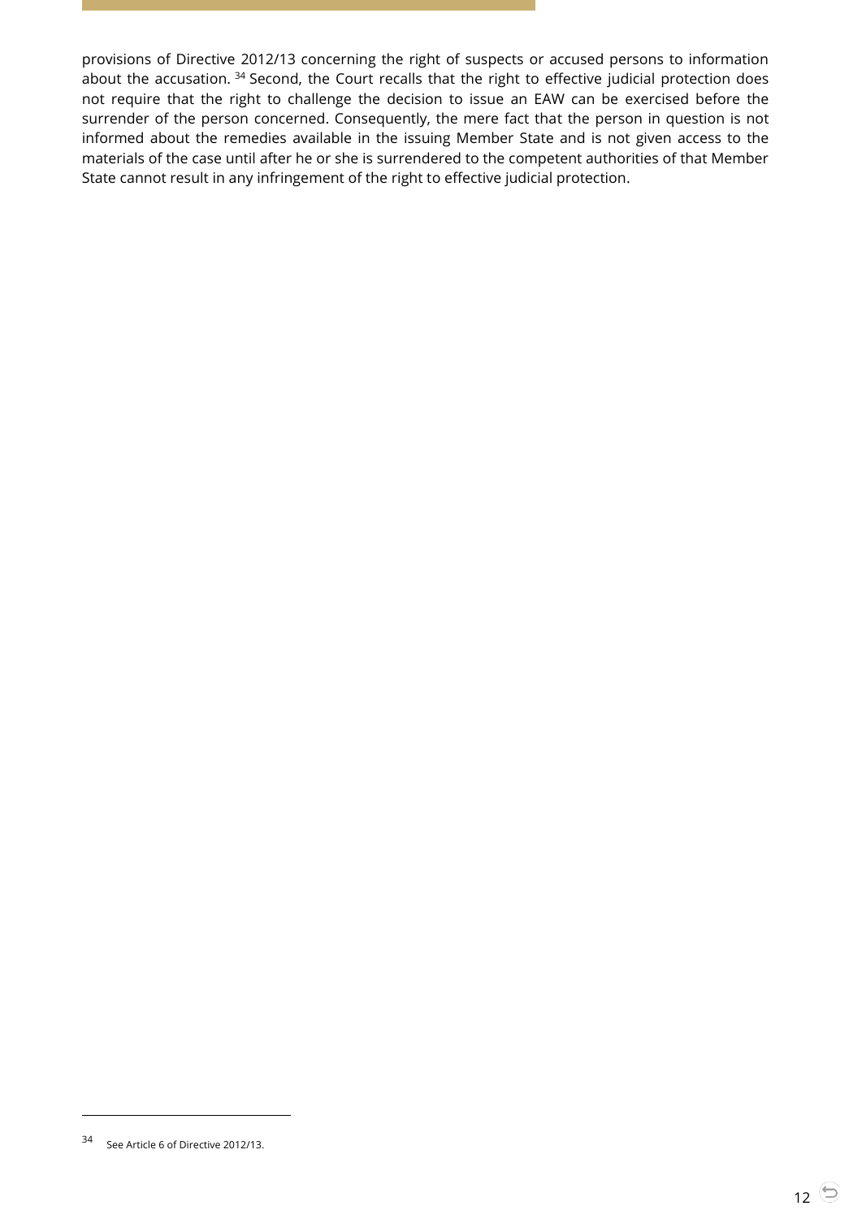provisions of Directive 2012/13 concerning the right of suspects or accused persons to information about the accusation.<sup>34</sup> Second, the Court recalls that the right to effective judicial protection does not require that the right to challenge the decision to issue an EAW can be exercised before the surrender of the person concerned. Consequently, the mere fact that the person in question is not informed about the remedies available in the issuing Member State and is not given access to the materials of the case until after he or she is surrendered to the competent authorities of that Member State cannot result in any infringement of the right to effective judicial protection.

<sup>34</sup> See Article 6 of Directive 2012/13.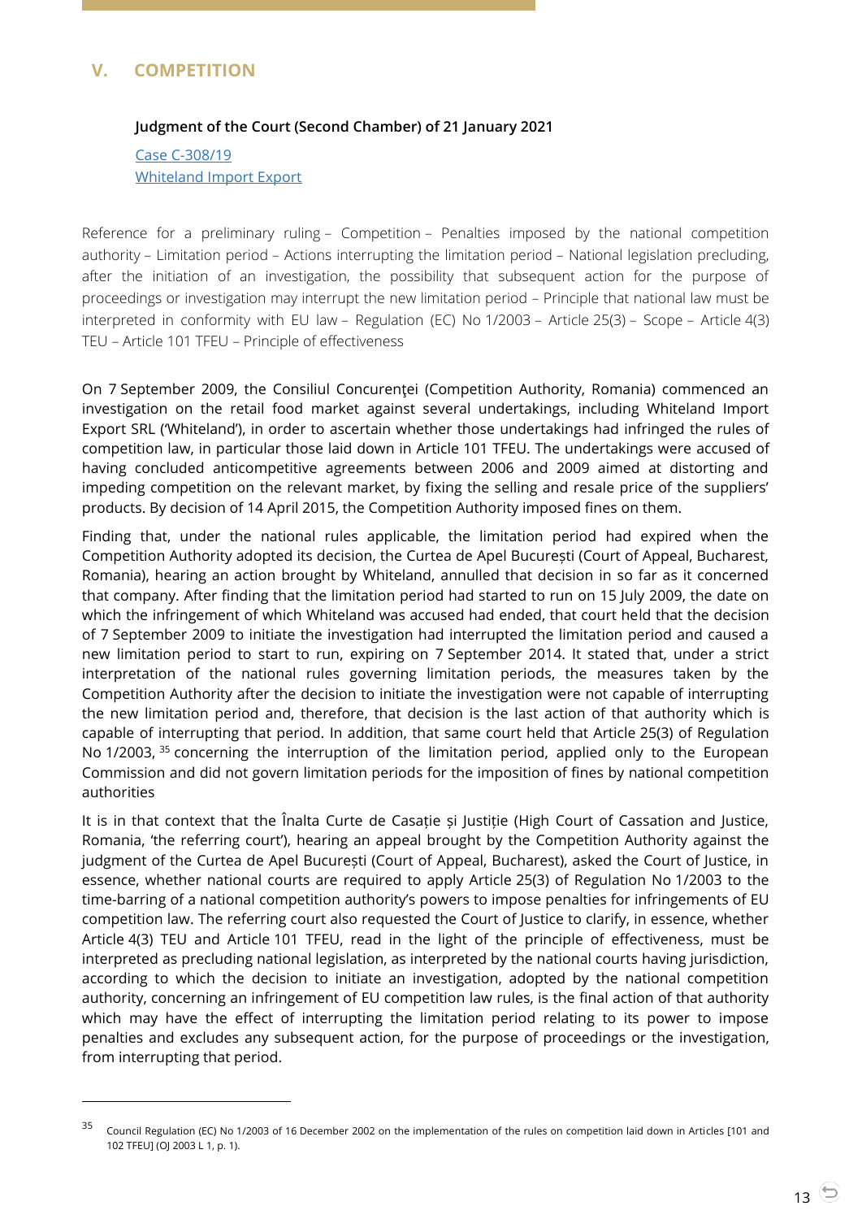# <span id="page-12-1"></span><span id="page-12-0"></span>**V. COMPETITION**

 $\overline{a}$ 

#### **Judgment of the Court (Second Chamber) of 21 January 2021**

Case [C-308/19](http://curia.europa.eu/juris/document/document.jsf?text=&docid=236722&pageIndex=0&doclang=en&mode=lst&dir=&occ=first&part=1&cid=2200774) [Whiteland Import Export](http://curia.europa.eu/juris/document/document.jsf?text=&docid=236722&pageIndex=0&doclang=en&mode=lst&dir=&occ=first&part=1&cid=2200774)

Reference for a preliminary ruling – Competition – Penalties imposed by the national competition authority – Limitation period – Actions interrupting the limitation period – National legislation precluding, after the initiation of an investigation, the possibility that subsequent action for the purpose of proceedings or investigation may interrupt the new limitation period – Principle that national law must be interpreted in conformity with EU law – Regulation (EC) No 1/2003 – Article 25(3) – Scope – Article 4(3) TEU – Article 101 TFEU – Principle of effectiveness

On 7 September 2009, the Consiliul Concurenţei (Competition Authority, Romania) commenced an investigation on the retail food market against several undertakings, including Whiteland Import Export SRL ('Whiteland'), in order to ascertain whether those undertakings had infringed the rules of competition law, in particular those laid down in Article 101 TFEU. The undertakings were accused of having concluded anticompetitive agreements between 2006 and 2009 aimed at distorting and impeding competition on the relevant market, by fixing the selling and resale price of the suppliers' products. By decision of 14 April 2015, the Competition Authority imposed fines on them.

Finding that, under the national rules applicable, the limitation period had expired when the Competition Authority adopted its decision, the Curtea de Apel București (Court of Appeal, Bucharest, Romania), hearing an action brought by Whiteland, annulled that decision in so far as it concerned that company. After finding that the limitation period had started to run on 15 July 2009, the date on which the infringement of which Whiteland was accused had ended, that court held that the decision of 7 September 2009 to initiate the investigation had interrupted the limitation period and caused a new limitation period to start to run, expiring on 7 September 2014. It stated that, under a strict interpretation of the national rules governing limitation periods, the measures taken by the Competition Authority after the decision to initiate the investigation were not capable of interrupting the new limitation period and, therefore, that decision is the last action of that authority which is capable of interrupting that period. In addition, that same court held that Article 25(3) of Regulation No 1/2003, <sup>35</sup> concerning the interruption of the limitation period, applied only to the European Commission and did not govern limitation periods for the imposition of fines by national competition authorities

It is in that context that the Înalta Curte de Casație și Justiție (High Court of Cassation and Justice, Romania, 'the referring court'), hearing an appeal brought by the Competition Authority against the judgment of the Curtea de Apel București (Court of Appeal, Buchareșt), asked the Court of Justice, in essence, whether national courts are required to apply Article 25(3) of Regulation No 1/2003 to the time-barring of a national competition authority's powers to impose penalties for infringements of EU competition law. The referring court also requested the Court of Justice to clarify, in essence, whether Article 4(3) TEU and Article 101 TFEU, read in the light of the principle of effectiveness, must be interpreted as precluding national legislation, as interpreted by the national courts having jurisdiction, according to which the decision to initiate an investigation, adopted by the national competition authority, concerning an infringement of EU competition law rules, is the final action of that authority which may have the effect of interrupting the limitation period relating to its power to impose penalties and excludes any subsequent action, for the purpose of proceedings or the investigation, from interrupting that period.

<sup>&</sup>lt;sup>35</sup> Council Regulation (EC) No 1/2003 of 16 December 2002 on the implementation of the rules on competition laid down in Articles [101 and 102 TFEU] (OJ 2003 L 1, p. 1).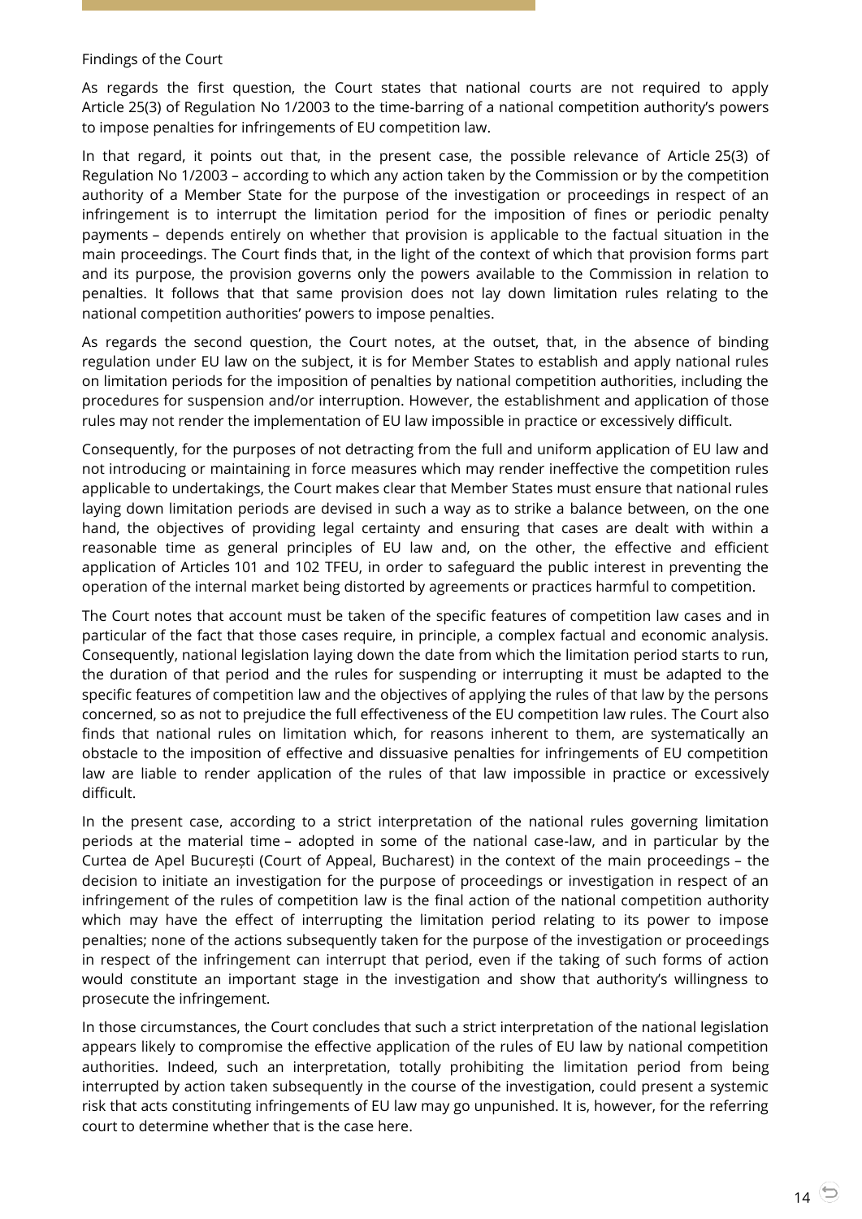#### Findings of the Court

As regards the first question, the Court states that national courts are not required to apply Article 25(3) of Regulation No 1/2003 to the time-barring of a national competition authority's powers to impose penalties for infringements of EU competition law.

In that regard, it points out that, in the present case, the possible relevance of Article 25(3) of Regulation No 1/2003 – according to which any action taken by the Commission or by the competition authority of a Member State for the purpose of the investigation or proceedings in respect of an infringement is to interrupt the limitation period for the imposition of fines or periodic penalty payments – depends entirely on whether that provision is applicable to the factual situation in the main proceedings. The Court finds that, in the light of the context of which that provision forms part and its purpose, the provision governs only the powers available to the Commission in relation to penalties. It follows that that same provision does not lay down limitation rules relating to the national competition authorities' powers to impose penalties.

As regards the second question, the Court notes, at the outset, that, in the absence of binding regulation under EU law on the subject, it is for Member States to establish and apply national rules on limitation periods for the imposition of penalties by national competition authorities, including the procedures for suspension and/or interruption. However, the establishment and application of those rules may not render the implementation of EU law impossible in practice or excessively difficult.

Consequently, for the purposes of not detracting from the full and uniform application of EU law and not introducing or maintaining in force measures which may render ineffective the competition rules applicable to undertakings, the Court makes clear that Member States must ensure that national rules laying down limitation periods are devised in such a way as to strike a balance between, on the one hand, the objectives of providing legal certainty and ensuring that cases are dealt with within a reasonable time as general principles of EU law and, on the other, the effective and efficient application of Articles 101 and 102 TFEU, in order to safeguard the public interest in preventing the operation of the internal market being distorted by agreements or practices harmful to competition.

The Court notes that account must be taken of the specific features of competition law cases and in particular of the fact that those cases require, in principle, a complex factual and economic analysis. Consequently, national legislation laying down the date from which the limitation period starts to run, the duration of that period and the rules for suspending or interrupting it must be adapted to the specific features of competition law and the objectives of applying the rules of that law by the persons concerned, so as not to prejudice the full effectiveness of the EU competition law rules. The Court also finds that national rules on limitation which, for reasons inherent to them, are systematically an obstacle to the imposition of effective and dissuasive penalties for infringements of EU competition law are liable to render application of the rules of that law impossible in practice or excessively difficult.

In the present case, according to a strict interpretation of the national rules governing limitation periods at the material time – adopted in some of the national case-law, and in particular by the Curtea de Apel București (Court of Appeal, Bucharest) in the context of the main proceedings – the decision to initiate an investigation for the purpose of proceedings or investigation in respect of an infringement of the rules of competition law is the final action of the national competition authority which may have the effect of interrupting the limitation period relating to its power to impose penalties; none of the actions subsequently taken for the purpose of the investigation or proceedings in respect of the infringement can interrupt that period, even if the taking of such forms of action would constitute an important stage in the investigation and show that authority's willingness to prosecute the infringement.

In those circumstances, the Court concludes that such a strict interpretation of the national legislation appears likely to compromise the effective application of the rules of EU law by national competition authorities. Indeed, such an interpretation, totally prohibiting the limitation period from being interrupted by action taken subsequently in the course of the investigation, could present a systemic risk that acts constituting infringements of EU law may go unpunished. It is, however, for the referring court to determine whether that is the case here.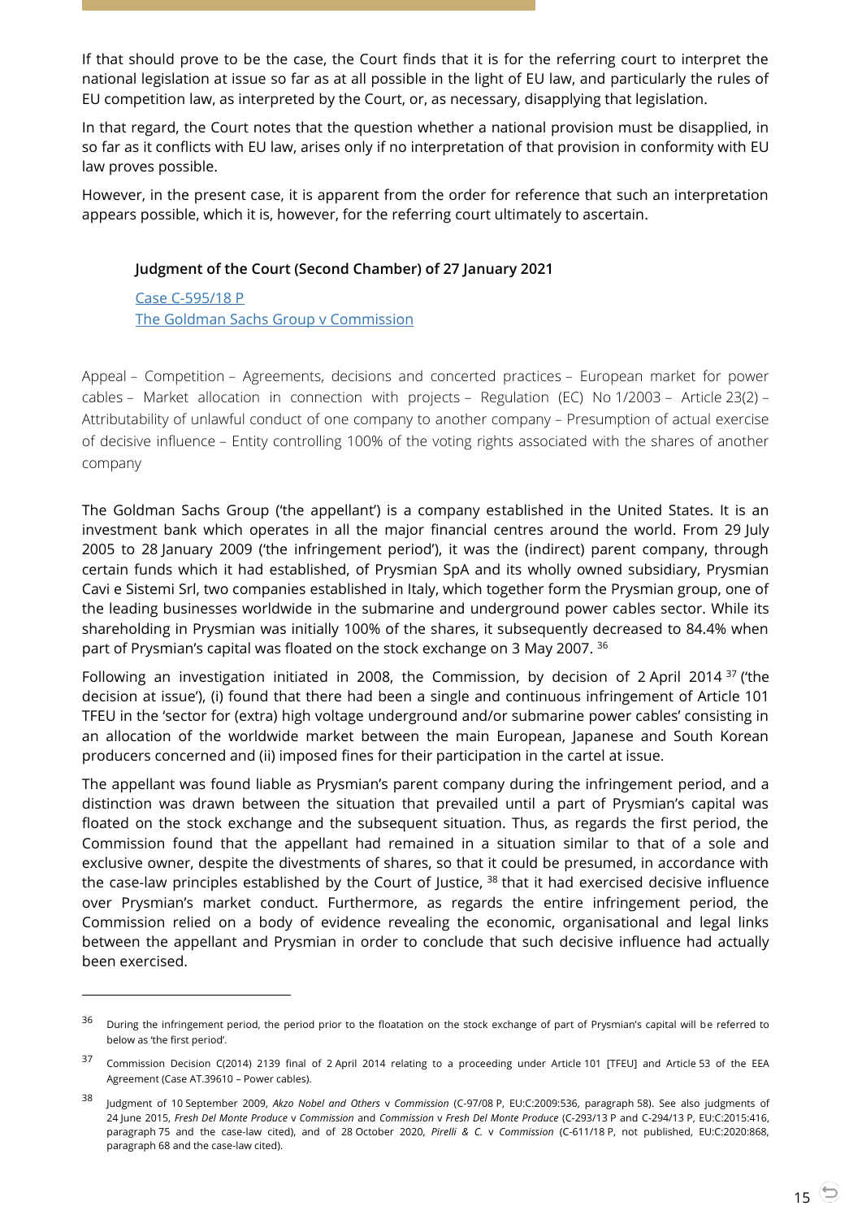If that should prove to be the case, the Court finds that it is for the referring court to interpret the national legislation at issue so far as at all possible in the light of EU law, and particularly the rules of EU competition law, as interpreted by the Court, or, as necessary, disapplying that legislation.

In that regard, the Court notes that the question whether a national provision must be disapplied, in so far as it conflicts with EU law, arises only if no interpretation of that provision in conformity with EU law proves possible.

<span id="page-14-0"></span>However, in the present case, it is apparent from the order for reference that such an interpretation appears possible, which it is, however, for the referring court ultimately to ascertain.

#### **Judgment of the Court (Second Chamber) of 27 January 2021**

Case [C-595/18](http://curia.europa.eu/juris/document/document.jsf?text=&docid=237046&pageIndex=0&doclang=en&mode=lst&dir=&occ=first&part=1&cid=2207092) P [The Goldman Sachs Group v Commission](http://curia.europa.eu/juris/document/document.jsf?text=&docid=237046&pageIndex=0&doclang=en&mode=lst&dir=&occ=first&part=1&cid=2207092)

 $\overline{a}$ 

Appeal – Competition – Agreements, decisions and concerted practices – European market for power cables – Market allocation in connection with projects – Regulation (EC) No 1/2003 – Article 23(2) – Attributability of unlawful conduct of one company to another company – Presumption of actual exercise of decisive influence – Entity controlling 100% of the voting rights associated with the shares of another company

The Goldman Sachs Group ('the appellant') is a company established in the United States. It is an investment bank which operates in all the major financial centres around the world. From 29 July 2005 to 28 January 2009 ('the infringement period'), it was the (indirect) parent company, through certain funds which it had established, of Prysmian SpA and its wholly owned subsidiary, Prysmian Cavi e Sistemi Srl, two companies established in Italy, which together form the Prysmian group, one of the leading businesses worldwide in the submarine and underground power cables sector. While its shareholding in Prysmian was initially 100% of the shares, it subsequently decreased to 84.4% when part of Prysmian's capital was floated on the stock exchange on 3 May 2007. <sup>36</sup>

Following an investigation initiated in 2008, the Commission, by decision of 2 April 2014  $37$  ('the decision at issue'), (i) found that there had been a single and continuous infringement of Article 101 TFEU in the 'sector for (extra) high voltage underground and/or submarine power cables' consisting in an allocation of the worldwide market between the main European, Japanese and South Korean producers concerned and (ii) imposed fines for their participation in the cartel at issue.

The appellant was found liable as Prysmian's parent company during the infringement period, and a distinction was drawn between the situation that prevailed until a part of Prysmian's capital was floated on the stock exchange and the subsequent situation. Thus, as regards the first period, the Commission found that the appellant had remained in a situation similar to that of a sole and exclusive owner, despite the divestments of shares, so that it could be presumed, in accordance with the case-law principles established by the Court of Justice, <sup>38</sup> that it had exercised decisive influence over Prysmian's market conduct. Furthermore, as regards the entire infringement period, the Commission relied on a body of evidence revealing the economic, organisational and legal links between the appellant and Prysmian in order to conclude that such decisive influence had actually been exercised.

<sup>&</sup>lt;sup>36</sup> During the infringement period, the period prior to the floatation on the stock exchange of part of Prysmian's capital will be referred to below as 'the first period'.

<sup>&</sup>lt;sup>37</sup> Commission Decision C(2014) 2139 final of 2 April 2014 relating to a proceeding under Article 101 [TFEU] and Article 53 of the EEA Agreement (Case AT.39610 – Power cables).

<sup>38</sup> Judgment of 10 September 2009, *Akzo Nobel and Others* <sup>v</sup> *Commission* (C-97/08 P, EU:C:2009:536, paragraph 58). See also judgments of 24 June 2015, *Fresh Del Monte Produce* v *Commission* and *Commission* v *Fresh Del Monte Produce* (C-293/13 P and C-294/13 P, EU:C:2015:416, paragraph 75 and the case-law cited), and of 28 October 2020, *Pirelli & C.* v *Commission* (C-611/18 P, not published, EU:C:2020:868, paragraph 68 and the case-law cited).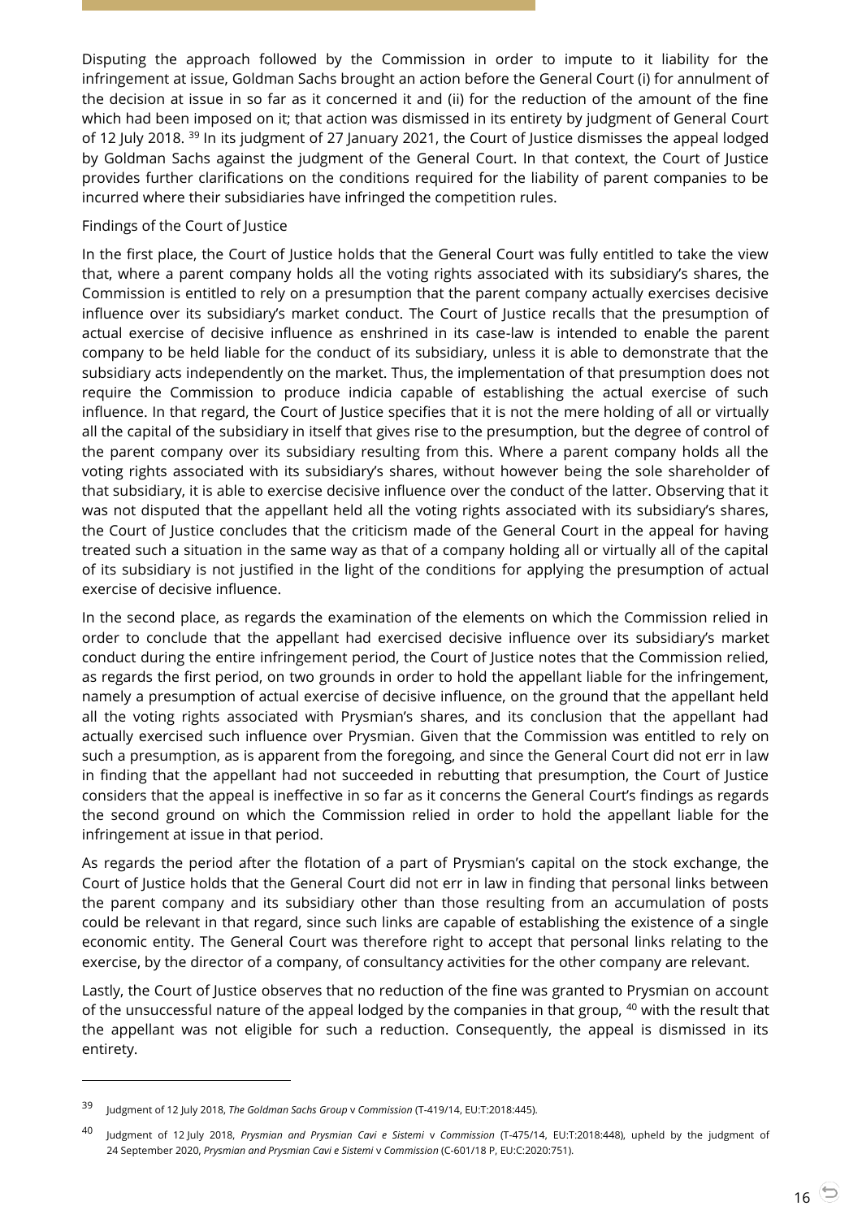Disputing the approach followed by the Commission in order to impute to it liability for the infringement at issue, Goldman Sachs brought an action before the General Court (i) for annulment of the decision at issue in so far as it concerned it and (ii) for the reduction of the amount of the fine which had been imposed on it; that action was dismissed in its entirety by judgment of General Court of 12 July 2018. <sup>39</sup> In its judgment of 27 January 2021, the Court of Justice dismisses the appeal lodged by Goldman Sachs against the judgment of the General Court. In that context, the Court of Justice provides further clarifications on the conditions required for the liability of parent companies to be incurred where their subsidiaries have infringed the competition rules.

#### Findings of the Court of Justice

In the first place, the Court of Justice holds that the General Court was fully entitled to take the view that, where a parent company holds all the voting rights associated with its subsidiary's shares, the Commission is entitled to rely on a presumption that the parent company actually exercises decisive influence over its subsidiary's market conduct. The Court of Justice recalls that the presumption of actual exercise of decisive influence as enshrined in its case-law is intended to enable the parent company to be held liable for the conduct of its subsidiary, unless it is able to demonstrate that the subsidiary acts independently on the market. Thus, the implementation of that presumption does not require the Commission to produce indicia capable of establishing the actual exercise of such influence. In that regard, the Court of Justice specifies that it is not the mere holding of all or virtually all the capital of the subsidiary in itself that gives rise to the presumption, but the degree of control of the parent company over its subsidiary resulting from this. Where a parent company holds all the voting rights associated with its subsidiary's shares, without however being the sole shareholder of that subsidiary, it is able to exercise decisive influence over the conduct of the latter. Observing that it was not disputed that the appellant held all the voting rights associated with its subsidiary's shares, the Court of Justice concludes that the criticism made of the General Court in the appeal for having treated such a situation in the same way as that of a company holding all or virtually all of the capital of its subsidiary is not justified in the light of the conditions for applying the presumption of actual exercise of decisive influence.

In the second place, as regards the examination of the elements on which the Commission relied in order to conclude that the appellant had exercised decisive influence over its subsidiary's market conduct during the entire infringement period, the Court of Justice notes that the Commission relied, as regards the first period, on two grounds in order to hold the appellant liable for the infringement, namely a presumption of actual exercise of decisive influence, on the ground that the appellant held all the voting rights associated with Prysmian's shares, and its conclusion that the appellant had actually exercised such influence over Prysmian. Given that the Commission was entitled to rely on such a presumption, as is apparent from the foregoing, and since the General Court did not err in law in finding that the appellant had not succeeded in rebutting that presumption, the Court of Justice considers that the appeal is ineffective in so far as it concerns the General Court's findings as regards the second ground on which the Commission relied in order to hold the appellant liable for the infringement at issue in that period.

As regards the period after the flotation of a part of Prysmian's capital on the stock exchange, the Court of Justice holds that the General Court did not err in law in finding that personal links between the parent company and its subsidiary other than those resulting from an accumulation of posts could be relevant in that regard, since such links are capable of establishing the existence of a single economic entity. The General Court was therefore right to accept that personal links relating to the exercise, by the director of a company, of consultancy activities for the other company are relevant.

Lastly, the Court of Justice observes that no reduction of the fine was granted to Prysmian on account of the unsuccessful nature of the appeal lodged by the companies in that group, <sup>40</sup> with the result that the appellant was not eligible for such a reduction. Consequently, the appeal is dismissed in its entirety.

<sup>39</sup> Judgment of 12 July 2018, *The Goldman Sachs Group* <sup>v</sup> *Commission* (T-419/14, EU:T:2018:445).

<sup>40</sup> Judgment of 12 July 2018, *Prysmian and Prysmian Cavi e Sistemi* <sup>v</sup> *Commission* (T-475/14, EU:T:2018:448), upheld by the judgment of 24 September 2020, *Prysmian and Prysmian Cavi e Sistemi* v *Commission* (C-601/18 P, EU:C:2020:751).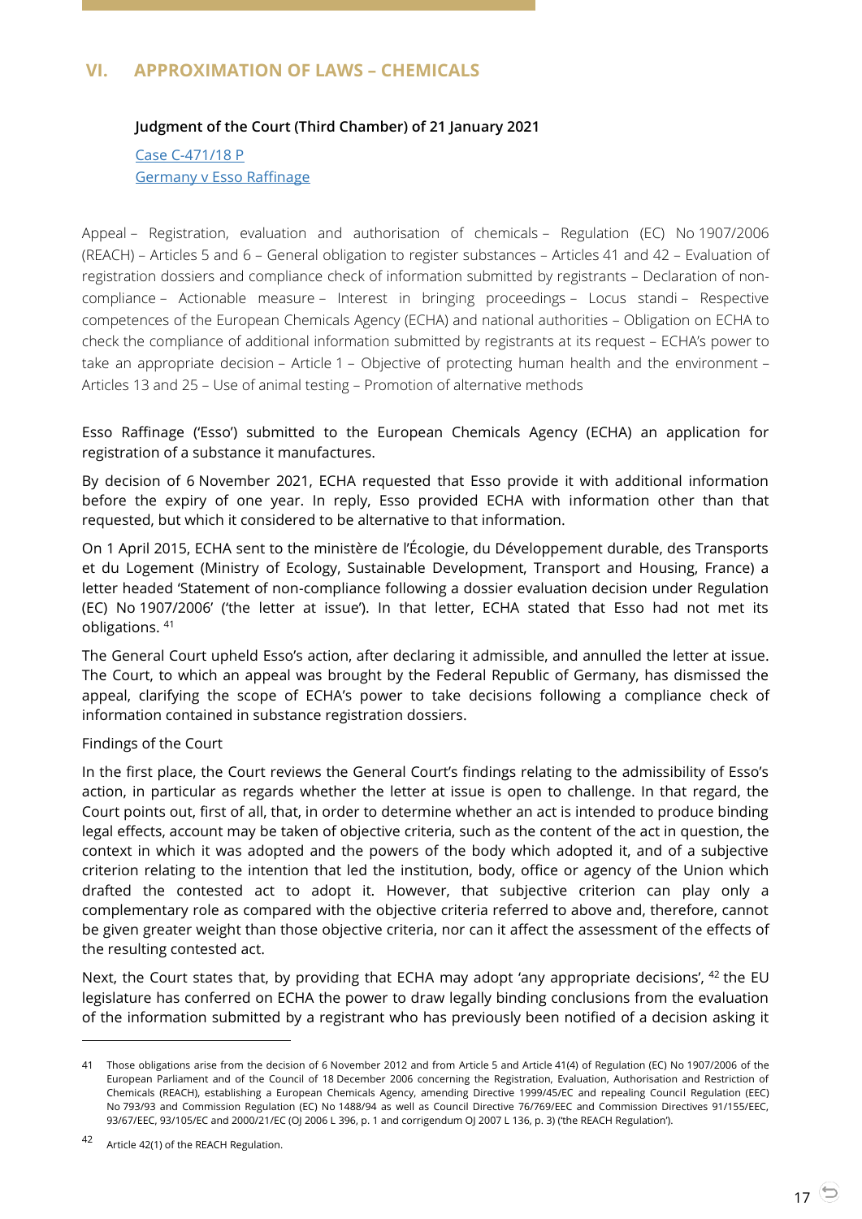## <span id="page-16-1"></span><span id="page-16-0"></span>**VI. APPROXIMATION OF LAWS – CHEMICALS**

#### **Judgment of the Court (Third Chamber) of 21 January 2021**

Case [C-471/18](http://curia.europa.eu/juris/document/document.jsf?text=&docid=236724&pageIndex=0&doclang=EN&mode=lst&dir=&occ=first&part=1&cid=2211540) P [Germany v Esso Raffinage](http://curia.europa.eu/juris/document/document.jsf?text=&docid=236724&pageIndex=0&doclang=EN&mode=lst&dir=&occ=first&part=1&cid=2211540)

Appeal – Registration, evaluation and authorisation of chemicals – Regulation (EC) No 1907/2006 (REACH) – Articles 5 and 6 – General obligation to register substances – Articles 41 and 42 – Evaluation of registration dossiers and compliance check of information submitted by registrants – Declaration of noncompliance – Actionable measure – Interest in bringing proceedings – Locus standi – Respective competences of the European Chemicals Agency (ECHA) and national authorities – Obligation on ECHA to check the compliance of additional information submitted by registrants at its request – ECHA's power to take an appropriate decision – Article 1 – Objective of protecting human health and the environment – Articles 13 and 25 – Use of animal testing – Promotion of alternative methods

Esso Raffinage ('Esso') submitted to the European Chemicals Agency (ECHA) an application for registration of a substance it manufactures.

By decision of 6 November 2021, ECHA requested that Esso provide it with additional information before the expiry of one year. In reply, Esso provided ECHA with information other than that requested, but which it considered to be alternative to that information.

On 1 April 2015, ECHA sent to the ministère de l'Écologie, du Développement durable, des Transports et du Logement (Ministry of Ecology, Sustainable Development, Transport and Housing, France) a letter headed 'Statement of non-compliance following a dossier evaluation decision under Regulation (EC) No 1907/2006' ('the letter at issue'). In that letter, ECHA stated that Esso had not met its obligations. <sup>41</sup>

The General Court upheld Esso's action, after declaring it admissible, and annulled the letter at issue. The Court, to which an appeal was brought by the Federal Republic of Germany, has dismissed the appeal, clarifying the scope of ECHA's power to take decisions following a compliance check of information contained in substance registration dossiers.

#### Findings of the Court

In the first place, the Court reviews the General Court's findings relating to the admissibility of Esso's action, in particular as regards whether the letter at issue is open to challenge. In that regard, the Court points out, first of all, that, in order to determine whether an act is intended to produce binding legal effects, account may be taken of objective criteria, such as the content of the act in question, the context in which it was adopted and the powers of the body which adopted it, and of a subjective criterion relating to the intention that led the institution, body, office or agency of the Union which drafted the contested act to adopt it. However, that subjective criterion can play only a complementary role as compared with the objective criteria referred to above and, therefore, cannot be given greater weight than those objective criteria, nor can it affect the assessment of the effects of the resulting contested act.

Next, the Court states that, by providing that ECHA may adopt 'any appropriate decisions',  $42$  the EU legislature has conferred on ECHA the power to draw legally binding conclusions from the evaluation of the information submitted by a registrant who has previously been notified of a decision asking it

<sup>41</sup> Those obligations arise from the decision of 6 November 2012 and from Article 5 and Article 41(4) of Regulation (EC) No 1907/2006 of the European Parliament and of the Council of 18 December 2006 concerning the Registration, Evaluation, Authorisation and Restriction of Chemicals (REACH), establishing a European Chemicals Agency, amending Directive 1999/45/EC and repealing Council Regulation (EEC) No 793/93 and Commission Regulation (EC) No 1488/94 as well as Council Directive 76/769/EEC and Commission Directives 91/155/EEC, 93/67/EEC, 93/105/EC and 2000/21/EC (OJ 2006 L 396, p. 1 and corrigendum OJ 2007 L 136, p. 3) ('the REACH Regulation').

<sup>42</sup> Article 42(1) of the REACH Regulation.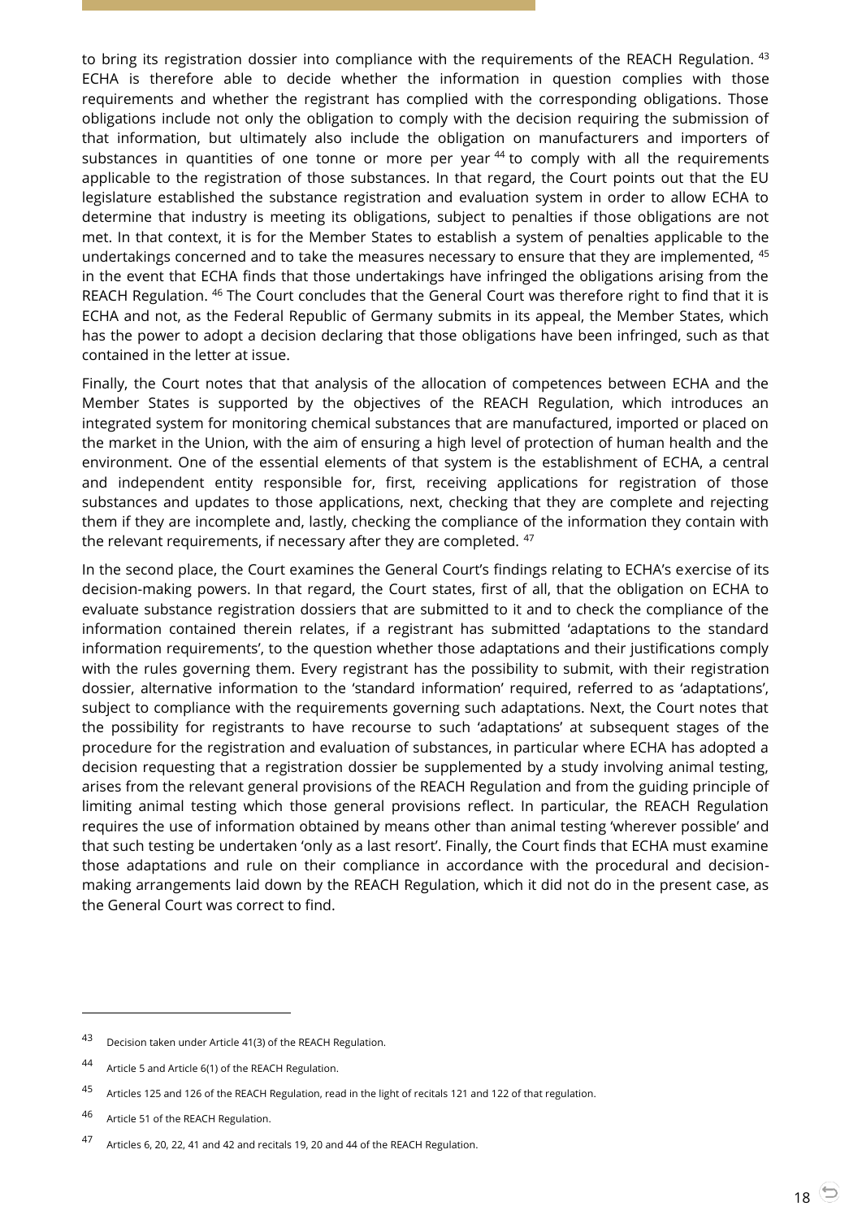to bring its registration dossier into compliance with the requirements of the REACH Regulation. <sup>43</sup> ECHA is therefore able to decide whether the information in question complies with those requirements and whether the registrant has complied with the corresponding obligations. Those obligations include not only the obligation to comply with the decision requiring the submission of that information, but ultimately also include the obligation on manufacturers and importers of substances in quantities of one tonne or more per year  $44$  to comply with all the requirements applicable to the registration of those substances. In that regard, the Court points out that the EU legislature established the substance registration and evaluation system in order to allow ECHA to determine that industry is meeting its obligations, subject to penalties if those obligations are not met. In that context, it is for the Member States to establish a system of penalties applicable to the undertakings concerned and to take the measures necessary to ensure that they are implemented, <sup>45</sup> in the event that ECHA finds that those undertakings have infringed the obligations arising from the REACH Regulation. <sup>46</sup> The Court concludes that the General Court was therefore right to find that it is ECHA and not, as the Federal Republic of Germany submits in its appeal, the Member States, which has the power to adopt a decision declaring that those obligations have been infringed, such as that contained in the letter at issue.

Finally, the Court notes that that analysis of the allocation of competences between ECHA and the Member States is supported by the objectives of the REACH Regulation, which introduces an integrated system for monitoring chemical substances that are manufactured, imported or placed on the market in the Union, with the aim of ensuring a high level of protection of human health and the environment. One of the essential elements of that system is the establishment of ECHA, a central and independent entity responsible for, first, receiving applications for registration of those substances and updates to those applications, next, checking that they are complete and rejecting them if they are incomplete and, lastly, checking the compliance of the information they contain with the relevant requirements, if necessary after they are completed. <sup>47</sup>

In the second place, the Court examines the General Court's findings relating to ECHA's exercise of its decision-making powers. In that regard, the Court states, first of all, that the obligation on ECHA to evaluate substance registration dossiers that are submitted to it and to check the compliance of the information contained therein relates, if a registrant has submitted 'adaptations to the standard information requirements', to the question whether those adaptations and their justifications comply with the rules governing them. Every registrant has the possibility to submit, with their registration dossier, alternative information to the 'standard information' required, referred to as 'adaptations', subject to compliance with the requirements governing such adaptations. Next, the Court notes that the possibility for registrants to have recourse to such 'adaptations' at subsequent stages of the procedure for the registration and evaluation of substances, in particular where ECHA has adopted a decision requesting that a registration dossier be supplemented by a study involving animal testing, arises from the relevant general provisions of the REACH Regulation and from the guiding principle of limiting animal testing which those general provisions reflect. In particular, the REACH Regulation requires the use of information obtained by means other than animal testing 'wherever possible' and that such testing be undertaken 'only as a last resort'. Finally, the Court finds that ECHA must examine those adaptations and rule on their compliance in accordance with the procedural and decisionmaking arrangements laid down by the REACH Regulation, which it did not do in the present case, as the General Court was correct to find.

<sup>43</sup> Decision taken under Article 41(3) of the REACH Regulation.

<sup>44</sup> Article 5 and Article 6(1) of the REACH Regulation.

<sup>45</sup> Articles 125 and 126 of the REACH Regulation, read in the light of recitals 121 and 122 of that regulation.

<sup>46</sup> Article 51 of the REACH Regulation.

<sup>47</sup> Articles 6, 20, 22, 41 and 42 and recitals 19, 20 and 44 of the REACH Regulation.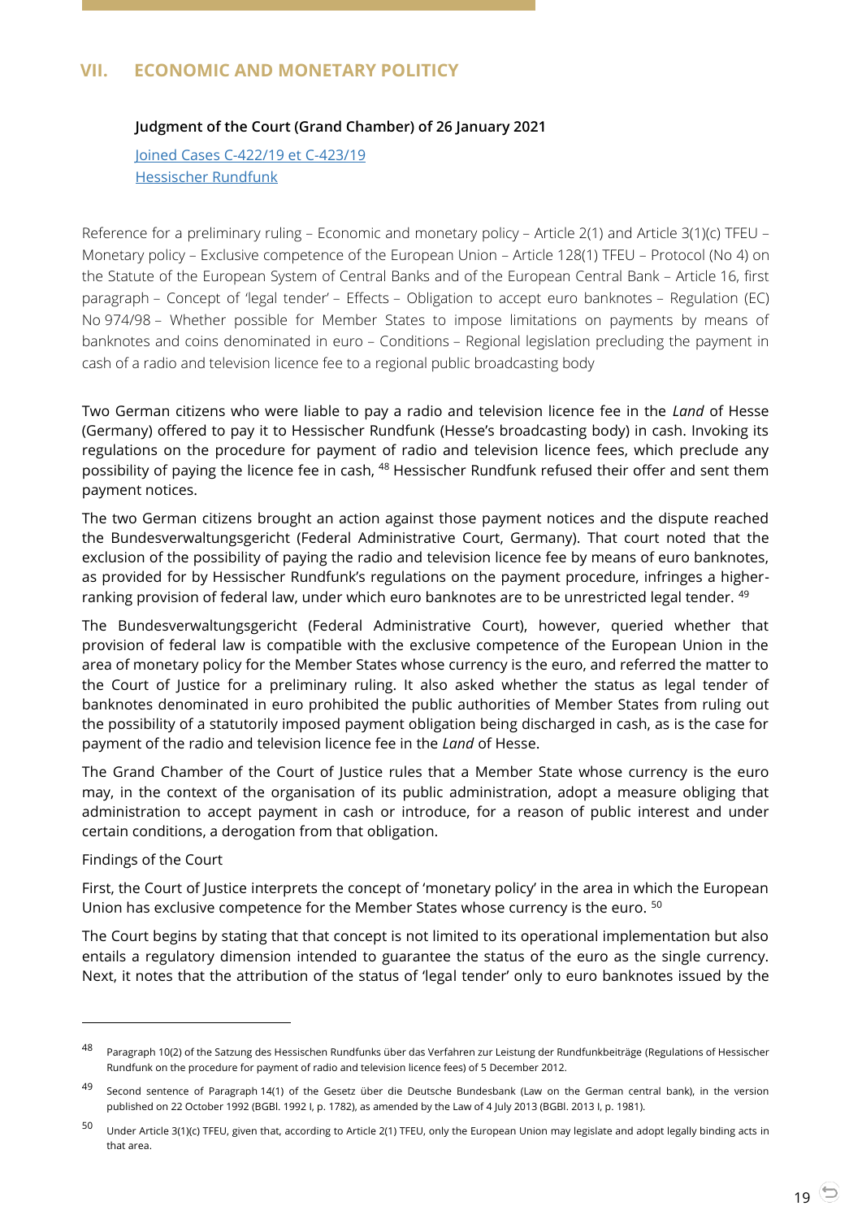# <span id="page-18-1"></span><span id="page-18-0"></span>**VII. ECONOMIC AND MONETARY POLITICY**

## **Judgment of the Court (Grand Chamber) of 26 January 2021**

Joined Cases [C-422/19 et C-423/19](http://curia.europa.eu/juris/document/document.jsf?text=&docid=236962&pageIndex=0&doclang=en&mode=lst&dir=&occ=first&part=1&cid=2215888) [Hessischer Rundfunk](http://curia.europa.eu/juris/document/document.jsf?text=&docid=236962&pageIndex=0&doclang=en&mode=lst&dir=&occ=first&part=1&cid=2215888)

Reference for a preliminary ruling – Economic and monetary policy – Article 2(1) and Article 3(1)(c) TFEU – Monetary policy – Exclusive competence of the European Union – Article 128(1) TFEU – Protocol (No 4) on the Statute of the European System of Central Banks and of the European Central Bank – Article 16, first paragraph – Concept of 'legal tender' – Effects – Obligation to accept euro banknotes – Regulation (EC) No 974/98 – Whether possible for Member States to impose limitations on payments by means of banknotes and coins denominated in euro – Conditions – Regional legislation precluding the payment in cash of a radio and television licence fee to a regional public broadcasting body

Two German citizens who were liable to pay a radio and television licence fee in the *Land* of Hesse (Germany) offered to pay it to Hessischer Rundfunk (Hesse's broadcasting body) in cash. Invoking its regulations on the procedure for payment of radio and television licence fees, which preclude any possibility of paying the licence fee in cash, <sup>48</sup> Hessischer Rundfunk refused their offer and sent them payment notices.

The two German citizens brought an action against those payment notices and the dispute reached the Bundesverwaltungsgericht (Federal Administrative Court, Germany). That court noted that the exclusion of the possibility of paying the radio and television licence fee by means of euro banknotes, as provided for by Hessischer Rundfunk's regulations on the payment procedure, infringes a higherranking provision of federal law, under which euro banknotes are to be unrestricted legal tender. <sup>49</sup>

The Bundesverwaltungsgericht (Federal Administrative Court), however, queried whether that provision of federal law is compatible with the exclusive competence of the European Union in the area of monetary policy for the Member States whose currency is the euro, and referred the matter to the Court of Justice for a preliminary ruling. It also asked whether the status as legal tender of banknotes denominated in euro prohibited the public authorities of Member States from ruling out the possibility of a statutorily imposed payment obligation being discharged in cash, as is the case for payment of the radio and television licence fee in the *Land* of Hesse.

The Grand Chamber of the Court of Justice rules that a Member State whose currency is the euro may, in the context of the organisation of its public administration, adopt a measure obliging that administration to accept payment in cash or introduce, for a reason of public interest and under certain conditions, a derogation from that obligation.

#### Findings of the Court

 $\overline{a}$ 

First, the Court of Justice interprets the concept of 'monetary policy' in the area in which the European Union has exclusive competence for the Member States whose currency is the euro. <sup>50</sup>

The Court begins by stating that that concept is not limited to its operational implementation but also entails a regulatory dimension intended to guarantee the status of the euro as the single currency. Next, it notes that the attribution of the status of 'legal tender' only to euro banknotes issued by the

<sup>48</sup> Paragraph 10(2) of the Satzung des Hessischen Rundfunks über das Verfahren zur Leistung der Rundfunkbeiträge (Regulations of Hessischer Rundfunk on the procedure for payment of radio and television licence fees) of 5 December 2012.

<sup>49</sup> Second sentence of Paragraph 14(1) of the Gesetz über die Deutsche Bundesbank (Law on the German central bank), in the version published on 22 October 1992 (BGBl. 1992 I, p. 1782), as amended by the Law of 4 July 2013 (BGBl. 2013 I, p. 1981).

<sup>50</sup> Under Article 3(1)(c) TFEU, given that, according to Article 2(1) TFEU, only the European Union may legislate and adopt legally binding acts in that area.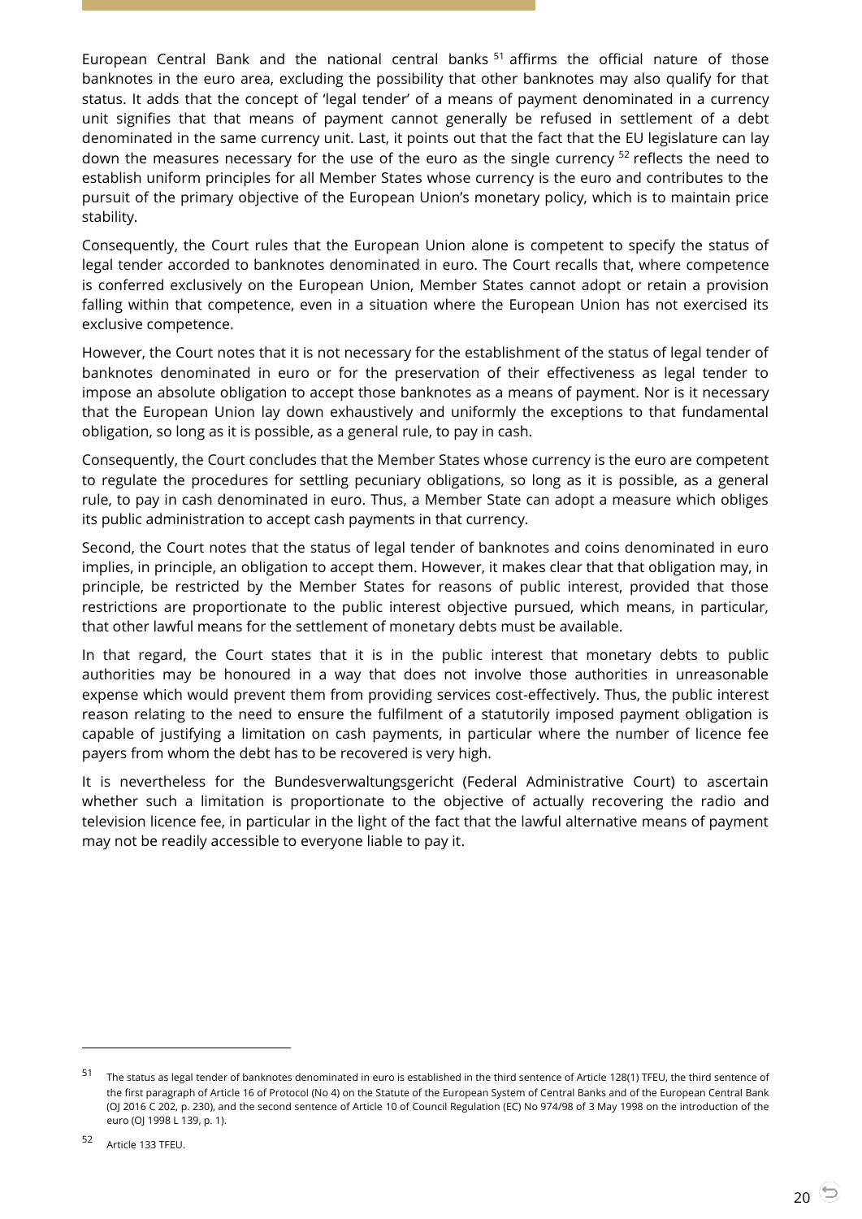European Central Bank and the national central banks<sup>51</sup> affirms the official nature of those banknotes in the euro area, excluding the possibility that other banknotes may also qualify for that status. It adds that the concept of 'legal tender' of a means of payment denominated in a currency unit signifies that that means of payment cannot generally be refused in settlement of a debt denominated in the same currency unit. Last, it points out that the fact that the EU legislature can lay down the measures necessary for the use of the euro as the single currency  $52$  reflects the need to establish uniform principles for all Member States whose currency is the euro and contributes to the pursuit of the primary objective of the European Union's monetary policy, which is to maintain price stability.

Consequently, the Court rules that the European Union alone is competent to specify the status of legal tender accorded to banknotes denominated in euro. The Court recalls that, where competence is conferred exclusively on the European Union, Member States cannot adopt or retain a provision falling within that competence, even in a situation where the European Union has not exercised its exclusive competence.

However, the Court notes that it is not necessary for the establishment of the status of legal tender of banknotes denominated in euro or for the preservation of their effectiveness as legal tender to impose an absolute obligation to accept those banknotes as a means of payment. Nor is it necessary that the European Union lay down exhaustively and uniformly the exceptions to that fundamental obligation, so long as it is possible, as a general rule, to pay in cash.

Consequently, the Court concludes that the Member States whose currency is the euro are competent to regulate the procedures for settling pecuniary obligations, so long as it is possible, as a general rule, to pay in cash denominated in euro. Thus, a Member State can adopt a measure which obliges its public administration to accept cash payments in that currency.

Second, the Court notes that the status of legal tender of banknotes and coins denominated in euro implies, in principle, an obligation to accept them. However, it makes clear that that obligation may, in principle, be restricted by the Member States for reasons of public interest, provided that those restrictions are proportionate to the public interest objective pursued, which means, in particular, that other lawful means for the settlement of monetary debts must be available.

In that regard, the Court states that it is in the public interest that monetary debts to public authorities may be honoured in a way that does not involve those authorities in unreasonable expense which would prevent them from providing services cost-effectively. Thus, the public interest reason relating to the need to ensure the fulfilment of a statutorily imposed payment obligation is capable of justifying a limitation on cash payments, in particular where the number of licence fee payers from whom the debt has to be recovered is very high.

It is nevertheless for the Bundesverwaltungsgericht (Federal Administrative Court) to ascertain whether such a limitation is proportionate to the objective of actually recovering the radio and television licence fee, in particular in the light of the fact that the lawful alternative means of payment may not be readily accessible to everyone liable to pay it.

<sup>51</sup> The status as legal tender of banknotes denominated in euro is established in the third sentence of Article 128(1) TFEU, the third sentence of the first paragraph of Article 16 of Protocol (No 4) on the Statute of the European System of Central Banks and of the European Central Bank (OJ 2016 C 202, p. 230), and the second sentence of Article 10 of Council Regulation (EC) No 974/98 of 3 May 1998 on the introduction of the euro (OJ 1998 L 139, p. 1).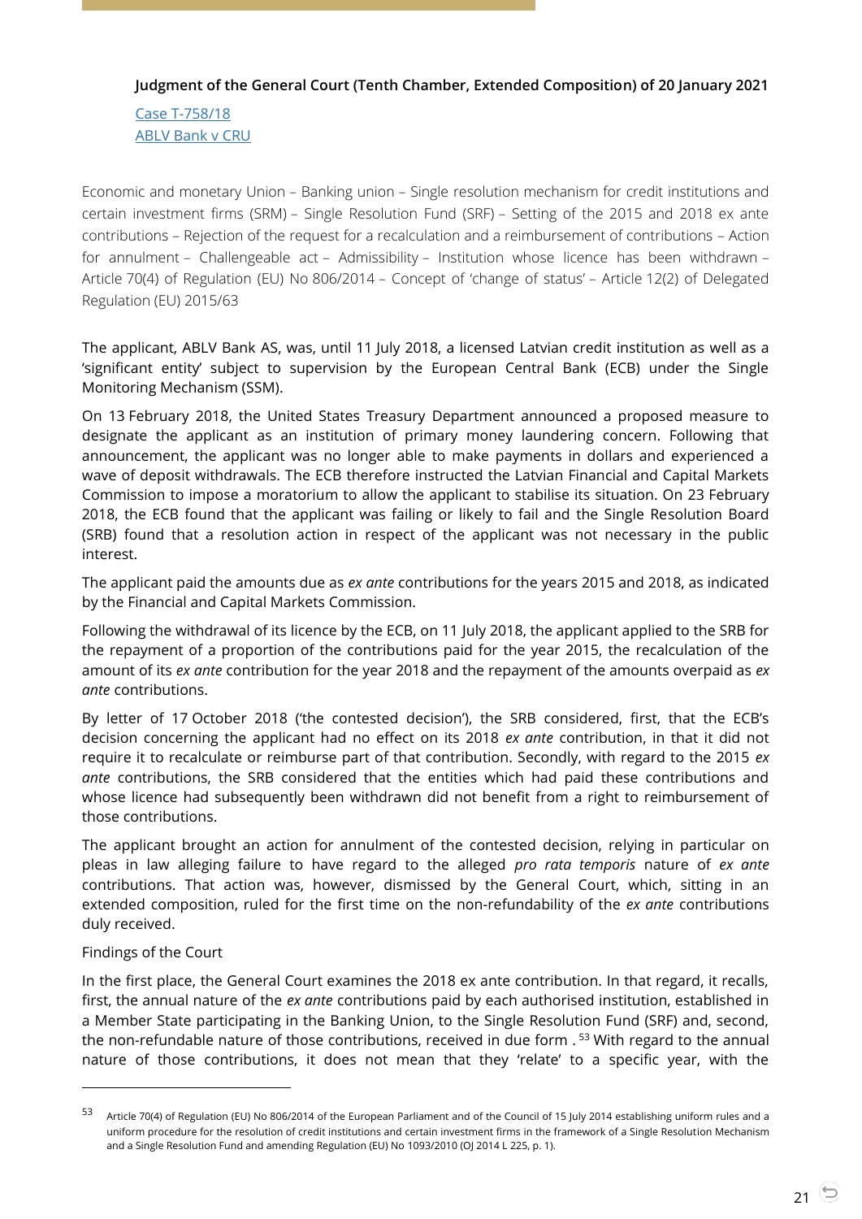## <span id="page-20-0"></span>**Judgment of the General Court (Tenth Chamber, Extended Composition) of 20 January 2021**

Case [T-758/18](http://curia.europa.eu/juris/document/document.jsf?text=&docid=236703&pageIndex=0&doclang=en&mode=lst&dir=&occ=first&part=1&cid=2223980) [ABLV Bank v CRU](http://curia.europa.eu/juris/document/document.jsf?text=&docid=236703&pageIndex=0&doclang=en&mode=lst&dir=&occ=first&part=1&cid=2223980)

Economic and monetary Union – Banking union – Single resolution mechanism for credit institutions and certain investment firms (SRM) – Single Resolution Fund (SRF) – Setting of the 2015 and 2018 ex ante contributions – Rejection of the request for a recalculation and a reimbursement of contributions – Action for annulment – Challengeable act – Admissibility – Institution whose licence has been withdrawn – Article 70(4) of Regulation (EU) No 806/2014 – Concept of 'change of status' – Article 12(2) of Delegated Regulation (EU) 2015/63

The applicant, ABLV Bank AS, was, until 11 July 2018, a licensed Latvian credit institution as well as a 'significant entity' subject to supervision by the European Central Bank (ECB) under the Single Monitoring Mechanism (SSM).

On 13 February 2018, the United States Treasury Department announced a proposed measure to designate the applicant as an institution of primary money laundering concern. Following that announcement, the applicant was no longer able to make payments in dollars and experienced a wave of deposit withdrawals. The ECB therefore instructed the Latvian Financial and Capital Markets Commission to impose a moratorium to allow the applicant to stabilise its situation. On 23 February 2018, the ECB found that the applicant was failing or likely to fail and the Single Resolution Board (SRB) found that a resolution action in respect of the applicant was not necessary in the public interest.

The applicant paid the amounts due as *ex ante* contributions for the years 2015 and 2018, as indicated by the Financial and Capital Markets Commission.

Following the withdrawal of its licence by the ECB, on 11 July 2018, the applicant applied to the SRB for the repayment of a proportion of the contributions paid for the year 2015, the recalculation of the amount of its *ex ante* contribution for the year 2018 and the repayment of the amounts overpaid as *ex ante* contributions.

By letter of 17 October 2018 ('the contested decision'), the SRB considered, first, that the ECB's decision concerning the applicant had no effect on its 2018 *ex ante* contribution, in that it did not require it to recalculate or reimburse part of that contribution. Secondly, with regard to the 2015 *ex ante* contributions, the SRB considered that the entities which had paid these contributions and whose licence had subsequently been withdrawn did not benefit from a right to reimbursement of those contributions.

The applicant brought an action for annulment of the contested decision, relying in particular on pleas in law alleging failure to have regard to the alleged *pro rata temporis* nature of *ex ante*  contributions. That action was, however, dismissed by the General Court, which, sitting in an extended composition, ruled for the first time on the non-refundability of the *ex ante* contributions duly received.

#### Findings of the Court

 $\overline{a}$ 

In the first place, the General Court examines the 2018 ex ante contribution. In that regard, it recalls, first, the annual nature of the *ex ante* contributions paid by each authorised institution, established in a Member State participating in the Banking Union, to the Single Resolution Fund (SRF) and, second, the non-refundable nature of those contributions, received in due form .<sup>53</sup> With regard to the annual nature of those contributions, it does not mean that they 'relate' to a specific year, with the

<sup>53</sup> Article 70(4) of Regulation (EU) No 806/2014 of the European Parliament and of the Council of 15 July 2014 establishing uniform rules and a uniform procedure for the resolution of credit institutions and certain investment firms in the framework of a Single Resolution Mechanism and a Single Resolution Fund and amending Regulation (EU) No 1093/2010 (OJ 2014 L 225, p. 1).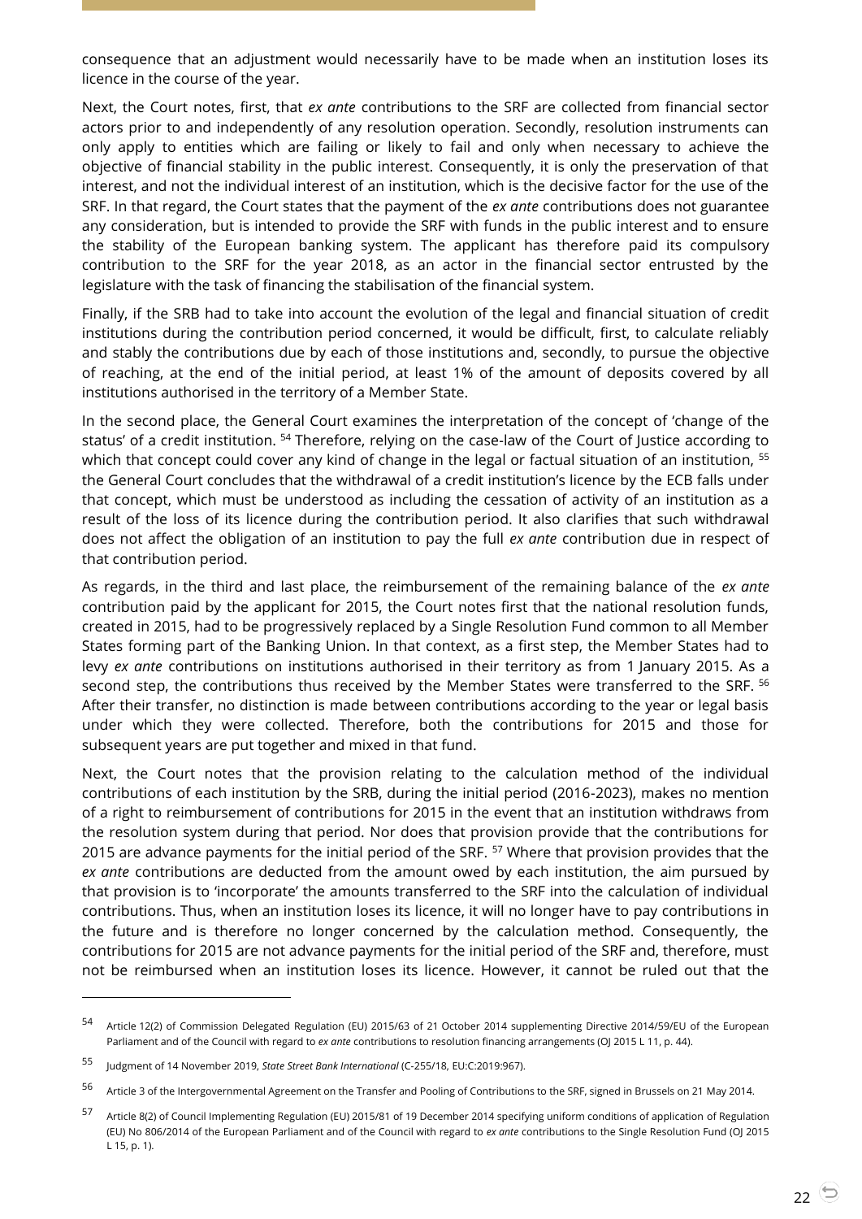consequence that an adjustment would necessarily have to be made when an institution loses its licence in the course of the year.

Next, the Court notes, first, that *ex ante* contributions to the SRF are collected from financial sector actors prior to and independently of any resolution operation. Secondly, resolution instruments can only apply to entities which are failing or likely to fail and only when necessary to achieve the objective of financial stability in the public interest. Consequently, it is only the preservation of that interest, and not the individual interest of an institution, which is the decisive factor for the use of the SRF. In that regard, the Court states that the payment of the *ex ante* contributions does not guarantee any consideration, but is intended to provide the SRF with funds in the public interest and to ensure the stability of the European banking system. The applicant has therefore paid its compulsory contribution to the SRF for the year 2018, as an actor in the financial sector entrusted by the legislature with the task of financing the stabilisation of the financial system.

Finally, if the SRB had to take into account the evolution of the legal and financial situation of credit institutions during the contribution period concerned, it would be difficult, first, to calculate reliably and stably the contributions due by each of those institutions and, secondly, to pursue the objective of reaching, at the end of the initial period, at least 1% of the amount of deposits covered by all institutions authorised in the territory of a Member State.

In the second place, the General Court examines the interpretation of the concept of 'change of the status' of a credit institution. <sup>54</sup> Therefore, relying on the case-law of the Court of Justice according to which that concept could cover any kind of change in the legal or factual situation of an institution, <sup>55</sup> the General Court concludes that the withdrawal of a credit institution's licence by the ECB falls under that concept, which must be understood as including the cessation of activity of an institution as a result of the loss of its licence during the contribution period. It also clarifies that such withdrawal does not affect the obligation of an institution to pay the full *ex ante* contribution due in respect of that contribution period.

As regards, in the third and last place, the reimbursement of the remaining balance of the *ex ante* contribution paid by the applicant for 2015, the Court notes first that the national resolution funds, created in 2015, had to be progressively replaced by a Single Resolution Fund common to all Member States forming part of the Banking Union. In that context, as a first step, the Member States had to levy *ex ante* contributions on institutions authorised in their territory as from 1 January 2015. As a second step, the contributions thus received by the Member States were transferred to the SRF. <sup>56</sup> After their transfer, no distinction is made between contributions according to the year or legal basis under which they were collected. Therefore, both the contributions for 2015 and those for subsequent years are put together and mixed in that fund.

Next, the Court notes that the provision relating to the calculation method of the individual contributions of each institution by the SRB, during the initial period (2016-2023), makes no mention of a right to reimbursement of contributions for 2015 in the event that an institution withdraws from the resolution system during that period. Nor does that provision provide that the contributions for 2015 are advance payments for the initial period of the SRF. <sup>57</sup> Where that provision provides that the *ex ante* contributions are deducted from the amount owed by each institution, the aim pursued by that provision is to 'incorporate' the amounts transferred to the SRF into the calculation of individual contributions. Thus, when an institution loses its licence, it will no longer have to pay contributions in the future and is therefore no longer concerned by the calculation method. Consequently, the contributions for 2015 are not advance payments for the initial period of the SRF and, therefore, must not be reimbursed when an institution loses its licence. However, it cannot be ruled out that the

<sup>54</sup> Article 12(2) of Commission Delegated Regulation (EU) 2015/63 of 21 October 2014 supplementing Directive 2014/59/EU of the European Parliament and of the Council with regard to *ex ante* contributions to resolution financing arrangements (OJ 2015 L 11, p. 44).

<sup>55</sup> Judgment of 14 November 2019, *State Street Bank International* (C-255/18, EU:C:2019:967).

<sup>&</sup>lt;sup>56</sup> Article 3 of the Intergovernmental Agreement on the Transfer and Pooling of Contributions to the SRF, signed in Brussels on 21 May 2014.

<sup>57</sup> Article 8(2) of Council Implementing Regulation (EU) 2015/81 of 19 December 2014 specifying uniform conditions of application of Regulation (EU) No 806/2014 of the European Parliament and of the Council with regard to *ex ante* contributions to the Single Resolution Fund (OJ 2015 L 15, p. 1).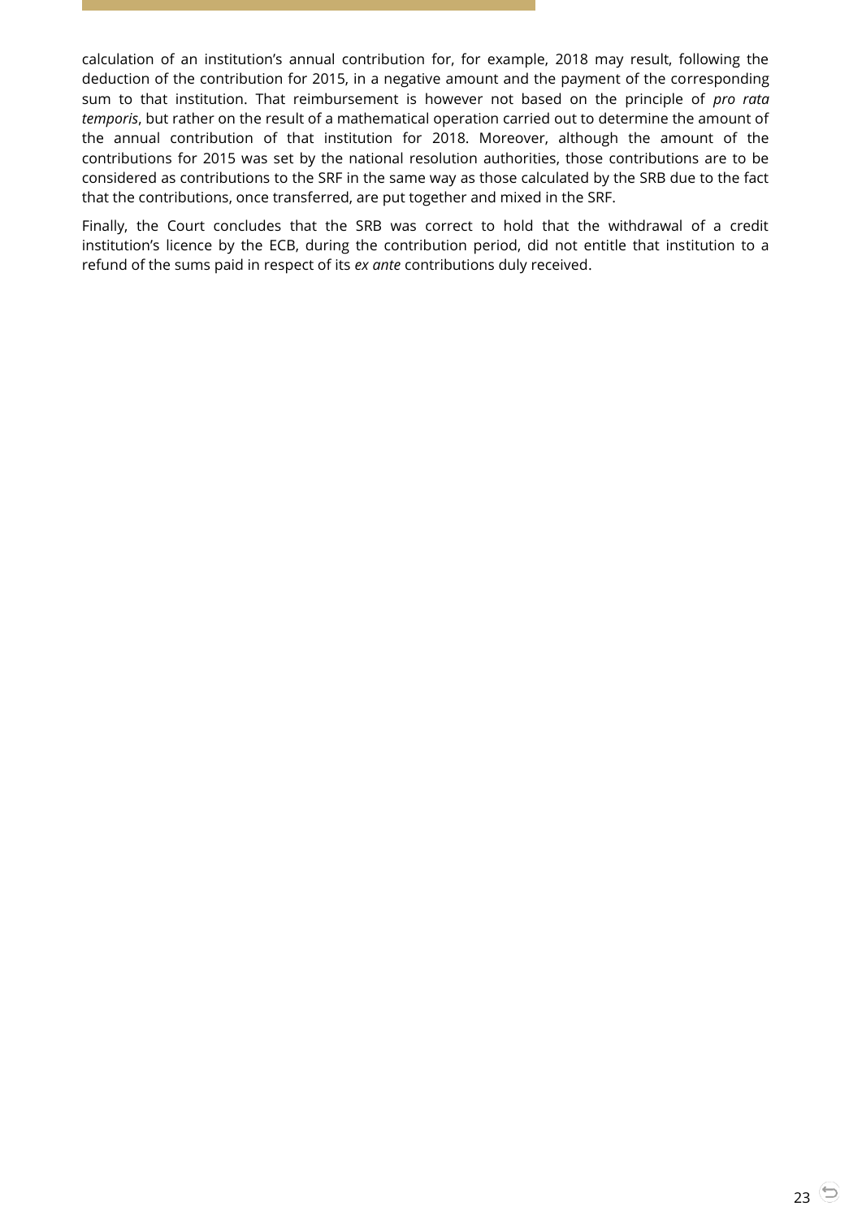calculation of an institution's annual contribution for, for example, 2018 may result, following the deduction of the contribution for 2015, in a negative amount and the payment of the corresponding sum to that institution. That reimbursement is however not based on the principle of *pro rata temporis*, but rather on the result of a mathematical operation carried out to determine the amount of the annual contribution of that institution for 2018. Moreover, although the amount of the contributions for 2015 was set by the national resolution authorities, those contributions are to be considered as contributions to the SRF in the same way as those calculated by the SRB due to the fact that the contributions, once transferred, are put together and mixed in the SRF.

Finally, the Court concludes that the SRB was correct to hold that the withdrawal of a credit institution's licence by the ECB, during the contribution period, did not entitle that institution to a refund of the sums paid in respect of its *ex ante* contributions duly received.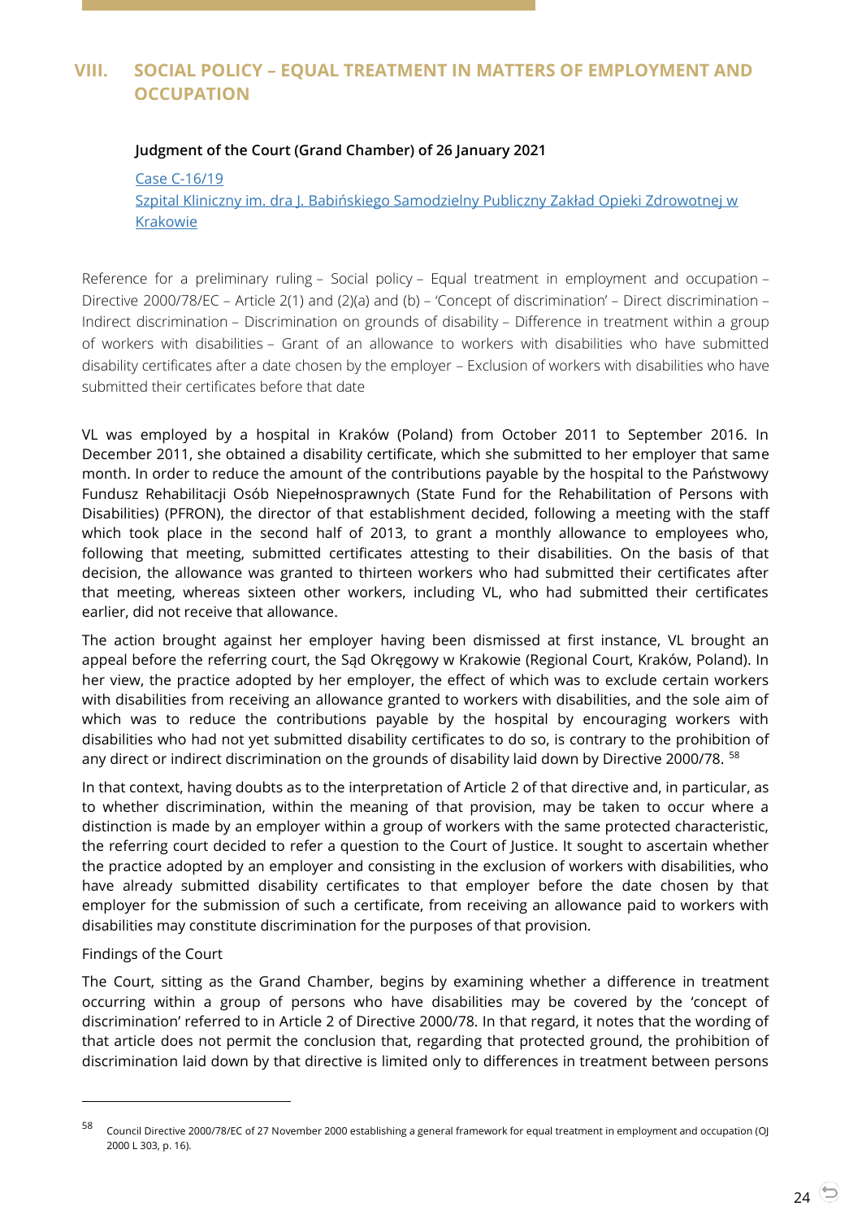# <span id="page-23-1"></span><span id="page-23-0"></span>**VIII. SOCIAL POLICY – EQUAL TREATMENT IN MATTERS OF EMPLOYMENT AND OCCUPATION**

#### **Judgment of the Court (Grand Chamber) of 26 January 2021**

Case [C-16/19](http://curia.europa.eu/juris/document/document.jsf?text=&docid=236963&pageIndex=0&doclang=en&mode=lst&dir=&occ=first&part=1&cid=2228943)

Szpital Kliniczny im. dra J. [Babińskiego Samodzielny Publiczny Zakład Opieki Zdrowotnej w](http://curia.europa.eu/juris/document/document.jsf?text=&docid=236963&pageIndex=0&doclang=en&mode=lst&dir=&occ=first&part=1&cid=2228943)  [Krakowie](http://curia.europa.eu/juris/document/document.jsf?text=&docid=236963&pageIndex=0&doclang=en&mode=lst&dir=&occ=first&part=1&cid=2228943)

Reference for a preliminary ruling – Social policy – Equal treatment in employment and occupation – Directive 2000/78/EC – Article 2(1) and (2)(a) and (b) – 'Concept of discrimination' – Direct discrimination – Indirect discrimination – Discrimination on grounds of disability – Difference in treatment within a group of workers with disabilities – Grant of an allowance to workers with disabilities who have submitted disability certificates after a date chosen by the employer – Exclusion of workers with disabilities who have submitted their certificates before that date

VL was employed by a hospital in Kraków (Poland) from October 2011 to September 2016. In December 2011, she obtained a disability certificate, which she submitted to her employer that same month. In order to reduce the amount of the contributions payable by the hospital to the Państwowy Fundusz Rehabilitacji Osób Niepełnosprawnych (State Fund for the Rehabilitation of Persons with Disabilities) (PFRON), the director of that establishment decided, following a meeting with the staff which took place in the second half of 2013, to grant a monthly allowance to employees who, following that meeting, submitted certificates attesting to their disabilities. On the basis of that decision, the allowance was granted to thirteen workers who had submitted their certificates after that meeting, whereas sixteen other workers, including VL, who had submitted their certificates earlier, did not receive that allowance.

The action brought against her employer having been dismissed at first instance, VL brought an appeal before the referring court, the Sąd Okręgowy w Krakowie (Regional Court, Kraków, Poland). In her view, the practice adopted by her employer, the effect of which was to exclude certain workers with disabilities from receiving an allowance granted to workers with disabilities, and the sole aim of which was to reduce the contributions payable by the hospital by encouraging workers with disabilities who had not yet submitted disability certificates to do so, is contrary to the prohibition of any direct or indirect discrimination on the grounds of disability laid down by Directive 2000/78. <sup>58</sup>

In that context, having doubts as to the interpretation of Article 2 of that directive and, in particular, as to whether discrimination, within the meaning of that provision, may be taken to occur where a distinction is made by an employer within a group of workers with the same protected characteristic, the referring court decided to refer a question to the Court of Justice. It sought to ascertain whether the practice adopted by an employer and consisting in the exclusion of workers with disabilities, who have already submitted disability certificates to that employer before the date chosen by that employer for the submission of such a certificate, from receiving an allowance paid to workers with disabilities may constitute discrimination for the purposes of that provision.

#### Findings of the Court

 $\overline{a}$ 

The Court, sitting as the Grand Chamber, begins by examining whether a difference in treatment occurring within a group of persons who have disabilities may be covered by the 'concept of discrimination' referred to in Article 2 of Directive 2000/78. In that regard, it notes that the wording of that article does not permit the conclusion that, regarding that protected ground, the prohibition of discrimination laid down by that directive is limited only to differences in treatment between persons

<sup>58</sup> Council Directive 2000/78/EC of 27 November 2000 establishing a general framework for equal treatment in employment and occupation (OJ 2000 L 303, p. 16).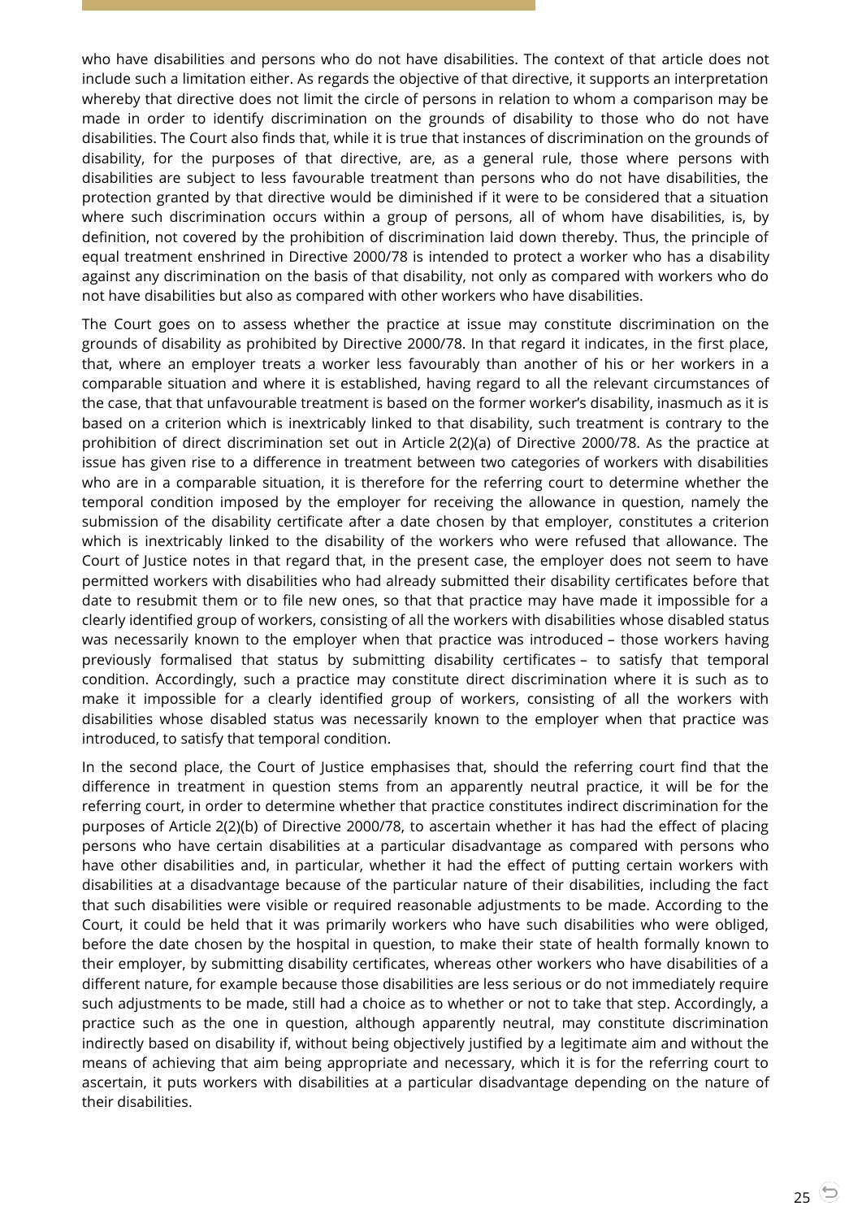who have disabilities and persons who do not have disabilities. The context of that article does not include such a limitation either. As regards the objective of that directive, it supports an interpretation whereby that directive does not limit the circle of persons in relation to whom a comparison may be made in order to identify discrimination on the grounds of disability to those who do not have disabilities. The Court also finds that, while it is true that instances of discrimination on the grounds of disability, for the purposes of that directive, are, as a general rule, those where persons with disabilities are subject to less favourable treatment than persons who do not have disabilities, the protection granted by that directive would be diminished if it were to be considered that a situation where such discrimination occurs within a group of persons, all of whom have disabilities, is, by definition, not covered by the prohibition of discrimination laid down thereby. Thus, the principle of equal treatment enshrined in Directive 2000/78 is intended to protect a worker who has a disability against any discrimination on the basis of that disability, not only as compared with workers who do not have disabilities but also as compared with other workers who have disabilities.

The Court goes on to assess whether the practice at issue may constitute discrimination on the grounds of disability as prohibited by Directive 2000/78. In that regard it indicates, in the first place, that, where an employer treats a worker less favourably than another of his or her workers in a comparable situation and where it is established, having regard to all the relevant circumstances of the case, that that unfavourable treatment is based on the former worker's disability, inasmuch as it is based on a criterion which is inextricably linked to that disability, such treatment is contrary to the prohibition of direct discrimination set out in Article 2(2)(a) of Directive 2000/78. As the practice at issue has given rise to a difference in treatment between two categories of workers with disabilities who are in a comparable situation, it is therefore for the referring court to determine whether the temporal condition imposed by the employer for receiving the allowance in question, namely the submission of the disability certificate after a date chosen by that employer, constitutes a criterion which is inextricably linked to the disability of the workers who were refused that allowance. The Court of Justice notes in that regard that, in the present case, the employer does not seem to have permitted workers with disabilities who had already submitted their disability certificates before that date to resubmit them or to file new ones, so that that practice may have made it impossible for a clearly identified group of workers, consisting of all the workers with disabilities whose disabled status was necessarily known to the employer when that practice was introduced – those workers having previously formalised that status by submitting disability certificates – to satisfy that temporal condition. Accordingly, such a practice may constitute direct discrimination where it is such as to make it impossible for a clearly identified group of workers, consisting of all the workers with disabilities whose disabled status was necessarily known to the employer when that practice was introduced, to satisfy that temporal condition.

In the second place, the Court of Justice emphasises that, should the referring court find that the difference in treatment in question stems from an apparently neutral practice, it will be for the referring court, in order to determine whether that practice constitutes indirect discrimination for the purposes of Article 2(2)(b) of Directive 2000/78, to ascertain whether it has had the effect of placing persons who have certain disabilities at a particular disadvantage as compared with persons who have other disabilities and, in particular, whether it had the effect of putting certain workers with disabilities at a disadvantage because of the particular nature of their disabilities, including the fact that such disabilities were visible or required reasonable adjustments to be made. According to the Court, it could be held that it was primarily workers who have such disabilities who were obliged, before the date chosen by the hospital in question, to make their state of health formally known to their employer, by submitting disability certificates, whereas other workers who have disabilities of a different nature, for example because those disabilities are less serious or do not immediately require such adjustments to be made, still had a choice as to whether or not to take that step. Accordingly, a practice such as the one in question, although apparently neutral, may constitute discrimination indirectly based on disability if, without being objectively justified by a legitimate aim and without the means of achieving that aim being appropriate and necessary, which it is for the referring court to ascertain, it puts workers with disabilities at a particular disadvantage depending on the nature of their disabilities.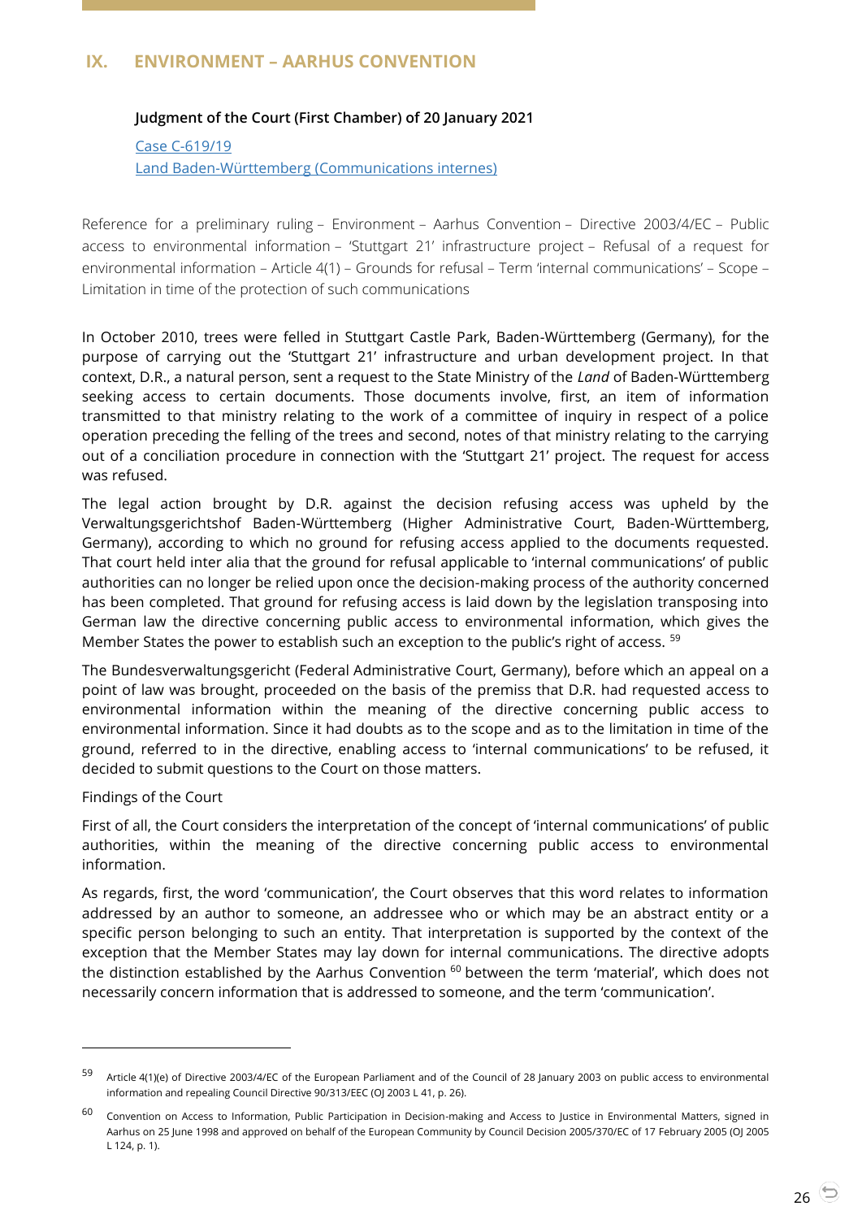# <span id="page-25-1"></span><span id="page-25-0"></span>**IX. ENVIRONMENT – AARHUS CONVENTION**

## **Judgment of the Court (First Chamber) of 20 January 2021**

Case [C-619/19](http://curia.europa.eu/juris/document/document.jsf?text=&docid=236684&pageIndex=0&doclang=en&mode=lst&dir=&occ=first&part=1&cid=3351161) [Land Baden-Württemberg \(Communications internes\)](http://curia.europa.eu/juris/document/document.jsf?text=&docid=236684&pageIndex=0&doclang=en&mode=lst&dir=&occ=first&part=1&cid=3351161)

Reference for a preliminary ruling – Environment – Aarhus Convention – Directive 2003/4/EC – Public access to environmental information – 'Stuttgart 21' infrastructure project – Refusal of a request for environmental information – Article 4(1) – Grounds for refusal – Term 'internal communications' – Scope – Limitation in time of the protection of such communications

In October 2010, trees were felled in Stuttgart Castle Park, Baden-Württemberg (Germany), for the purpose of carrying out the 'Stuttgart 21' infrastructure and urban development project. In that context, D.R., a natural person, sent a request to the State Ministry of the *Land* of Baden-Württemberg seeking access to certain documents. Those documents involve, first, an item of information transmitted to that ministry relating to the work of a committee of inquiry in respect of a police operation preceding the felling of the trees and second, notes of that ministry relating to the carrying out of a conciliation procedure in connection with the 'Stuttgart 21' project. The request for access was refused.

The legal action brought by D.R. against the decision refusing access was upheld by the Verwaltungsgerichtshof Baden-Württemberg (Higher Administrative Court, Baden-Württemberg, Germany), according to which no ground for refusing access applied to the documents requested. That court held inter alia that the ground for refusal applicable to 'internal communications' of public authorities can no longer be relied upon once the decision-making process of the authority concerned has been completed. That ground for refusing access is laid down by the legislation transposing into German law the directive concerning public access to environmental information, which gives the Member States the power to establish such an exception to the public's right of access. <sup>59</sup>

The Bundesverwaltungsgericht (Federal Administrative Court, Germany), before which an appeal on a point of law was brought, proceeded on the basis of the premiss that D.R. had requested access to environmental information within the meaning of the directive concerning public access to environmental information. Since it had doubts as to the scope and as to the limitation in time of the ground, referred to in the directive, enabling access to 'internal communications' to be refused, it decided to submit questions to the Court on those matters.

Findings of the Court

 $\overline{a}$ 

First of all, the Court considers the interpretation of the concept of 'internal communications' of public authorities, within the meaning of the directive concerning public access to environmental information.

As regards, first, the word 'communication', the Court observes that this word relates to information addressed by an author to someone, an addressee who or which may be an abstract entity or a specific person belonging to such an entity. That interpretation is supported by the context of the exception that the Member States may lay down for internal communications. The directive adopts the distinction established by the Aarhus Convention <sup>60</sup> between the term 'material', which does not necessarily concern information that is addressed to someone, and the term 'communication'.

<sup>59</sup> Article 4(1)(e) of Directive 2003/4/EC of the European Parliament and of the Council of 28 January 2003 on public access to environmental information and repealing Council Directive 90/313/EEC (OJ 2003 L 41, p. 26).

 $60$  Convention on Access to Information, Public Participation in Decision-making and Access to Justice in Environmental Matters, signed in Aarhus on 25 June 1998 and approved on behalf of the European Community by Council Decision 2005/370/EC of 17 February 2005 (OJ 2005 L 124, p. 1).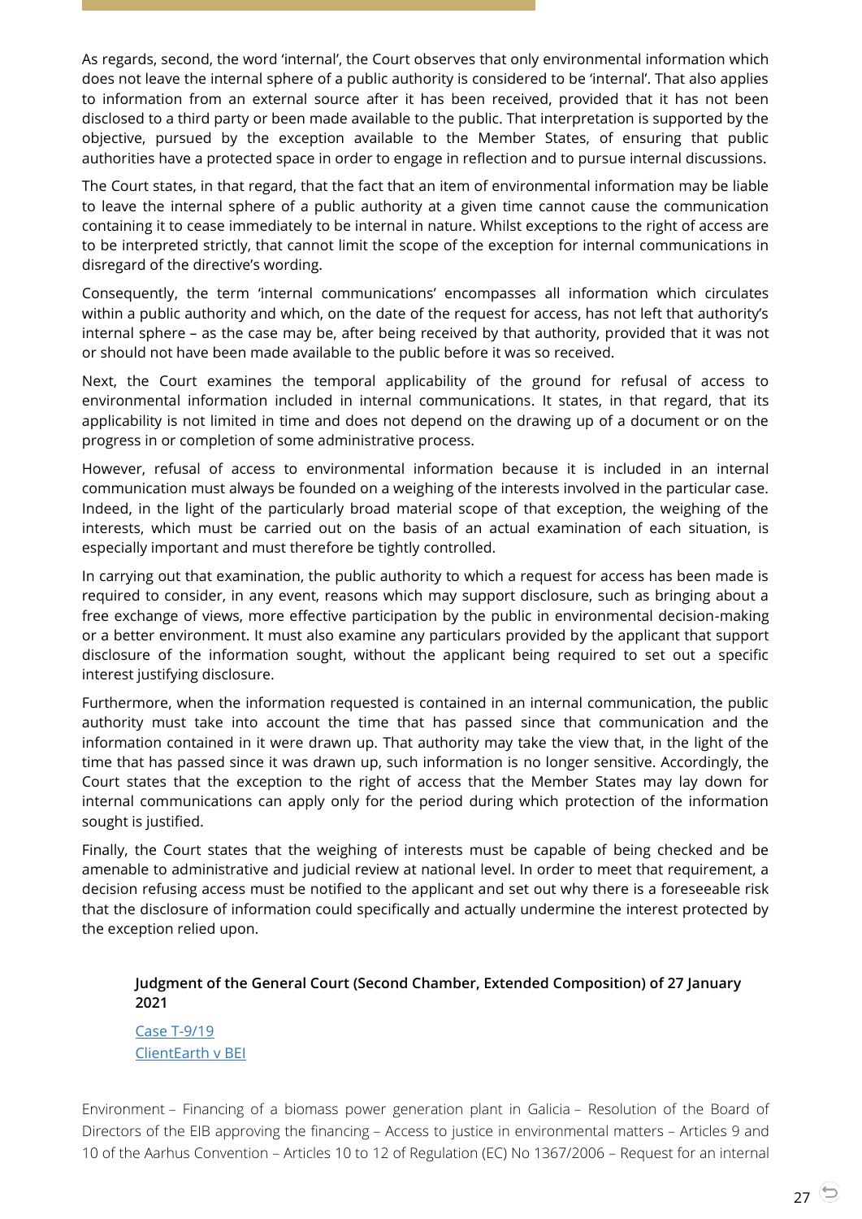As regards, second, the word 'internal', the Court observes that only environmental information which does not leave the internal sphere of a public authority is considered to be 'internal'. That also applies to information from an external source after it has been received, provided that it has not been disclosed to a third party or been made available to the public. That interpretation is supported by the objective, pursued by the exception available to the Member States, of ensuring that public authorities have a protected space in order to engage in reflection and to pursue internal discussions.

The Court states, in that regard, that the fact that an item of environmental information may be liable to leave the internal sphere of a public authority at a given time cannot cause the communication containing it to cease immediately to be internal in nature. Whilst exceptions to the right of access are to be interpreted strictly, that cannot limit the scope of the exception for internal communications in disregard of the directive's wording.

Consequently, the term 'internal communications' encompasses all information which circulates within a public authority and which, on the date of the request for access, has not left that authority's internal sphere – as the case may be, after being received by that authority, provided that it was not or should not have been made available to the public before it was so received.

Next, the Court examines the temporal applicability of the ground for refusal of access to environmental information included in internal communications. It states, in that regard, that its applicability is not limited in time and does not depend on the drawing up of a document or on the progress in or completion of some administrative process.

However, refusal of access to environmental information because it is included in an internal communication must always be founded on a weighing of the interests involved in the particular case. Indeed, in the light of the particularly broad material scope of that exception, the weighing of the interests, which must be carried out on the basis of an actual examination of each situation, is especially important and must therefore be tightly controlled.

In carrying out that examination, the public authority to which a request for access has been made is required to consider, in any event, reasons which may support disclosure, such as bringing about a free exchange of views, more effective participation by the public in environmental decision-making or a better environment. It must also examine any particulars provided by the applicant that support disclosure of the information sought, without the applicant being required to set out a specific interest justifying disclosure.

Furthermore, when the information requested is contained in an internal communication, the public authority must take into account the time that has passed since that communication and the information contained in it were drawn up. That authority may take the view that, in the light of the time that has passed since it was drawn up, such information is no longer sensitive. Accordingly, the Court states that the exception to the right of access that the Member States may lay down for internal communications can apply only for the period during which protection of the information sought is justified.

Finally, the Court states that the weighing of interests must be capable of being checked and be amenable to administrative and judicial review at national level. In order to meet that requirement, a decision refusing access must be notified to the applicant and set out why there is a foreseeable risk that the disclosure of information could specifically and actually undermine the interest protected by the exception relied upon.

## <span id="page-26-0"></span>**Judgment of the General Court (Second Chamber, Extended Composition) of 27 January 2021**

Case [T-9/19](http://curia.europa.eu/juris/document/document.jsf?text=&docid=237047&pageIndex=0&doclang=en&mode=lst&dir=&occ=first&part=1&cid=2275027) [ClientEarth v BEI](http://curia.europa.eu/juris/document/document.jsf?text=&docid=237047&pageIndex=0&doclang=en&mode=lst&dir=&occ=first&part=1&cid=2275027)

Environment – Financing of a biomass power generation plant in Galicia – Resolution of the Board of Directors of the EIB approving the financing – Access to justice in environmental matters – Articles 9 and 10 of the Aarhus Convention – Articles 10 to 12 of Regulation (EC) No 1367/2006 – Request for an internal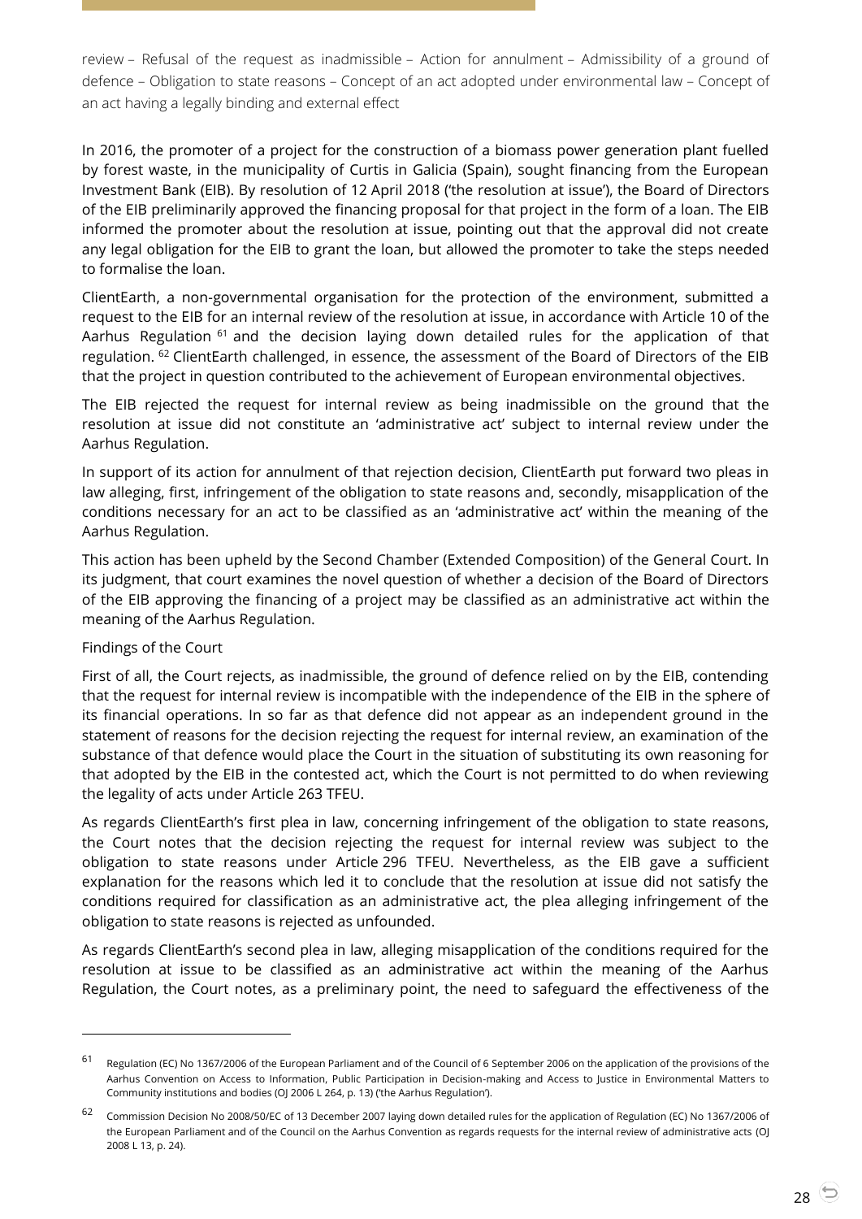review – Refusal of the request as inadmissible – Action for annulment – Admissibility of a ground of defence – Obligation to state reasons – Concept of an act adopted under environmental law – Concept of an act having a legally binding and external effect

In 2016, the promoter of a project for the construction of a biomass power generation plant fuelled by forest waste, in the municipality of Curtis in Galicia (Spain), sought financing from the European Investment Bank (EIB). By resolution of 12 April 2018 ('the resolution at issue'), the Board of Directors of the EIB preliminarily approved the financing proposal for that project in the form of a loan. The EIB informed the promoter about the resolution at issue, pointing out that the approval did not create any legal obligation for the EIB to grant the loan, but allowed the promoter to take the steps needed to formalise the loan.

ClientEarth, a non-governmental organisation for the protection of the environment, submitted a request to the EIB for an internal review of the resolution at issue, in accordance with Article 10 of the Aarhus Regulation <sup>61</sup> and the decision laying down detailed rules for the application of that regulation. <sup>62</sup> ClientEarth challenged, in essence, the assessment of the Board of Directors of the EIB that the project in question contributed to the achievement of European environmental objectives.

The EIB rejected the request for internal review as being inadmissible on the ground that the resolution at issue did not constitute an 'administrative act' subject to internal review under the Aarhus Regulation.

In support of its action for annulment of that rejection decision, ClientEarth put forward two pleas in law alleging, first, infringement of the obligation to state reasons and, secondly, misapplication of the conditions necessary for an act to be classified as an 'administrative act' within the meaning of the Aarhus Regulation.

This action has been upheld by the Second Chamber (Extended Composition) of the General Court. In its judgment, that court examines the novel question of whether a decision of the Board of Directors of the EIB approving the financing of a project may be classified as an administrative act within the meaning of the Aarhus Regulation.

#### Findings of the Court

 $\overline{a}$ 

First of all, the Court rejects, as inadmissible, the ground of defence relied on by the EIB, contending that the request for internal review is incompatible with the independence of the EIB in the sphere of its financial operations. In so far as that defence did not appear as an independent ground in the statement of reasons for the decision rejecting the request for internal review, an examination of the substance of that defence would place the Court in the situation of substituting its own reasoning for that adopted by the EIB in the contested act, which the Court is not permitted to do when reviewing the legality of acts under Article 263 TFEU.

As regards ClientEarth's first plea in law, concerning infringement of the obligation to state reasons, the Court notes that the decision rejecting the request for internal review was subject to the obligation to state reasons under Article 296 TFEU. Nevertheless, as the EIB gave a sufficient explanation for the reasons which led it to conclude that the resolution at issue did not satisfy the conditions required for classification as an administrative act, the plea alleging infringement of the obligation to state reasons is rejected as unfounded.

As regards ClientEarth's second plea in law, alleging misapplication of the conditions required for the resolution at issue to be classified as an administrative act within the meaning of the Aarhus Regulation, the Court notes, as a preliminary point, the need to safeguard the effectiveness of the

<sup>61</sup> Regulation (EC) No 1367/2006 of the European Parliament and of the Council of 6 September 2006 on the application of the provisions of the Aarhus Convention on Access to Information, Public Participation in Decision-making and Access to Justice in Environmental Matters to Community institutions and bodies (OJ 2006 L 264, p. 13) ('the Aarhus Regulation').

<sup>62</sup> Commission Decision No 2008/50/EC of 13 December 2007 laying down detailed rules for the application of Regulation (EC) No 1367/2006 of the European Parliament and of the Council on the Aarhus Convention as regards requests for the internal review of administrative acts (OJ 2008 L 13, p. 24).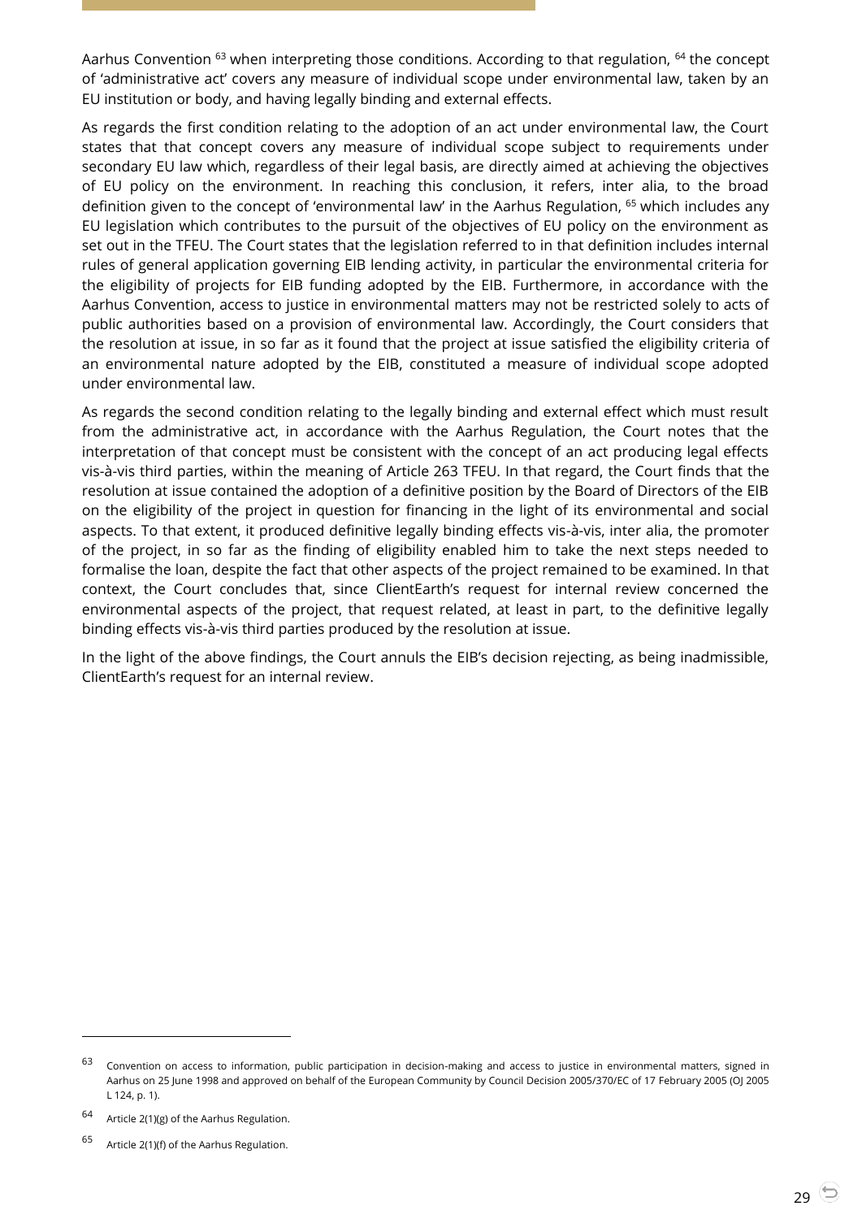Aarhus Convention <sup>63</sup> when interpreting those conditions. According to that regulation, <sup>64</sup> the concept of 'administrative act' covers any measure of individual scope under environmental law, taken by an EU institution or body, and having legally binding and external effects.

As regards the first condition relating to the adoption of an act under environmental law, the Court states that that concept covers any measure of individual scope subject to requirements under secondary EU law which, regardless of their legal basis, are directly aimed at achieving the objectives of EU policy on the environment. In reaching this conclusion, it refers, inter alia, to the broad definition given to the concept of 'environmental law' in the Aarhus Regulation, <sup>65</sup> which includes any EU legislation which contributes to the pursuit of the objectives of EU policy on the environment as set out in the TFEU. The Court states that the legislation referred to in that definition includes internal rules of general application governing EIB lending activity, in particular the environmental criteria for the eligibility of projects for EIB funding adopted by the EIB. Furthermore, in accordance with the Aarhus Convention, access to justice in environmental matters may not be restricted solely to acts of public authorities based on a provision of environmental law. Accordingly, the Court considers that the resolution at issue, in so far as it found that the project at issue satisfied the eligibility criteria of an environmental nature adopted by the EIB, constituted a measure of individual scope adopted under environmental law.

As regards the second condition relating to the legally binding and external effect which must result from the administrative act, in accordance with the Aarhus Regulation, the Court notes that the interpretation of that concept must be consistent with the concept of an act producing legal effects vis-à-vis third parties, within the meaning of Article 263 TFEU. In that regard, the Court finds that the resolution at issue contained the adoption of a definitive position by the Board of Directors of the EIB on the eligibility of the project in question for financing in the light of its environmental and social aspects. To that extent, it produced definitive legally binding effects vis-à-vis, inter alia, the promoter of the project, in so far as the finding of eligibility enabled him to take the next steps needed to formalise the loan, despite the fact that other aspects of the project remained to be examined. In that context, the Court concludes that, since ClientEarth's request for internal review concerned the environmental aspects of the project, that request related, at least in part, to the definitive legally binding effects vis-à-vis third parties produced by the resolution at issue.

In the light of the above findings, the Court annuls the EIB's decision rejecting, as being inadmissible, ClientEarth's request for an internal review.

-

 $63$  Convention on access to information, public participation in decision-making and access to justice in environmental matters, signed in Aarhus on 25 June 1998 and approved on behalf of the European Community by Council Decision 2005/370/EC of 17 February 2005 (OJ 2005 L 124, p. 1).

<sup>64</sup> Article 2(1)(g) of the Aarhus Regulation.

<sup>65</sup> Article 2(1)(f) of the Aarhus Regulation.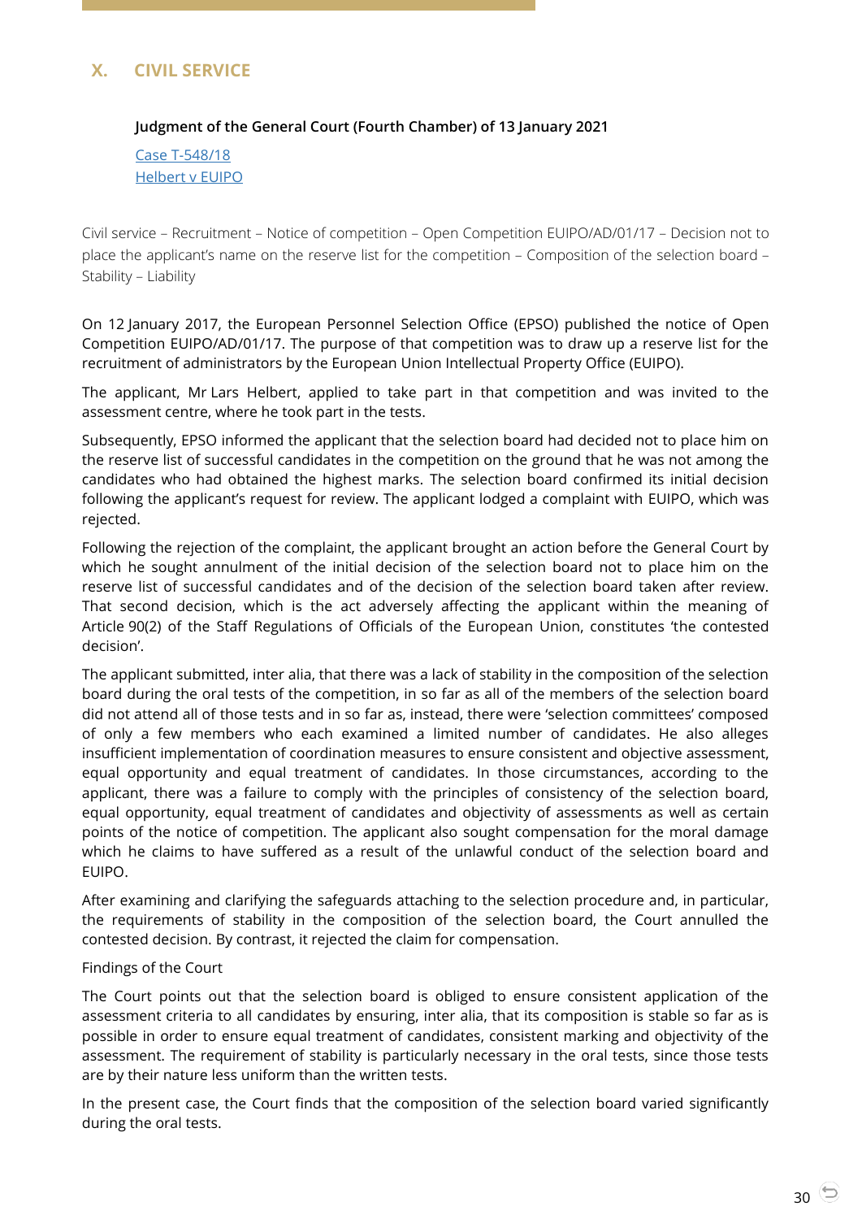# <span id="page-29-1"></span><span id="page-29-0"></span>**X. CIVIL SERVICE**

## **Judgment of the General Court (Fourth Chamber) of 13 January 2021**

Case [T-548/18](http://curia.europa.eu/juris/document/document.jsf?text=&docid=236405&pageIndex=0&doclang=en&mode=lst&dir=&occ=first&part=1&cid=2281727) [Helbert v EUIPO](http://curia.europa.eu/juris/document/document.jsf?text=&docid=236405&pageIndex=0&doclang=en&mode=lst&dir=&occ=first&part=1&cid=2281727)

Civil service – Recruitment – Notice of competition – Open Competition EUIPO/AD/01/17 – Decision not to place the applicant's name on the reserve list for the competition – Composition of the selection board – Stability – Liability

On 12 January 2017, the European Personnel Selection Office (EPSO) published the notice of Open Competition EUIPO/AD/01/17. The purpose of that competition was to draw up a reserve list for the recruitment of administrators by the European Union Intellectual Property Office (EUIPO).

The applicant, Mr Lars Helbert, applied to take part in that competition and was invited to the assessment centre, where he took part in the tests.

Subsequently, EPSO informed the applicant that the selection board had decided not to place him on the reserve list of successful candidates in the competition on the ground that he was not among the candidates who had obtained the highest marks. The selection board confirmed its initial decision following the applicant's request for review. The applicant lodged a complaint with EUIPO, which was rejected.

Following the rejection of the complaint, the applicant brought an action before the General Court by which he sought annulment of the initial decision of the selection board not to place him on the reserve list of successful candidates and of the decision of the selection board taken after review. That second decision, which is the act adversely affecting the applicant within the meaning of Article 90(2) of the Staff Regulations of Officials of the European Union, constitutes 'the contested decision'.

The applicant submitted, inter alia, that there was a lack of stability in the composition of the selection board during the oral tests of the competition, in so far as all of the members of the selection board did not attend all of those tests and in so far as, instead, there were 'selection committees' composed of only a few members who each examined a limited number of candidates. He also alleges insufficient implementation of coordination measures to ensure consistent and objective assessment, equal opportunity and equal treatment of candidates. In those circumstances, according to the applicant, there was a failure to comply with the principles of consistency of the selection board, equal opportunity, equal treatment of candidates and objectivity of assessments as well as certain points of the notice of competition. The applicant also sought compensation for the moral damage which he claims to have suffered as a result of the unlawful conduct of the selection board and EUIPO.

After examining and clarifying the safeguards attaching to the selection procedure and, in particular, the requirements of stability in the composition of the selection board, the Court annulled the contested decision. By contrast, it rejected the claim for compensation.

#### Findings of the Court

The Court points out that the selection board is obliged to ensure consistent application of the assessment criteria to all candidates by ensuring, inter alia, that its composition is stable so far as is possible in order to ensure equal treatment of candidates, consistent marking and objectivity of the assessment. The requirement of stability is particularly necessary in the oral tests, since those tests are by their nature less uniform than the written tests.

In the present case, the Court finds that the composition of the selection board varied significantly during the oral tests.